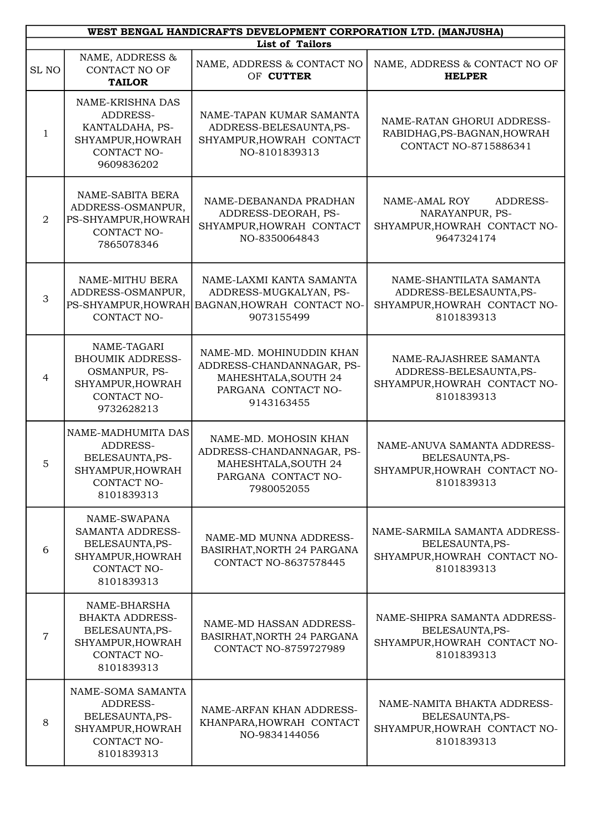| WEST BENGAL HANDICRAFTS DEVELOPMENT CORPORATION LTD. (MANJUSHA) |                                                                                                             |                                                                                                                    |                                                                                                  |  |
|-----------------------------------------------------------------|-------------------------------------------------------------------------------------------------------------|--------------------------------------------------------------------------------------------------------------------|--------------------------------------------------------------------------------------------------|--|
|                                                                 | <b>List of Tailors</b>                                                                                      |                                                                                                                    |                                                                                                  |  |
| SL <sub>NO</sub>                                                | NAME, ADDRESS &<br><b>CONTACT NO OF</b><br><b>TAILOR</b>                                                    | NAME, ADDRESS & CONTACT NO<br>OF CUTTER                                                                            | NAME, ADDRESS & CONTACT NO OF<br><b>HELPER</b>                                                   |  |
| $\mathbf{1}$                                                    | NAME-KRISHNA DAS<br>ADDRESS-<br>KANTALDAHA, PS-<br>SHYAMPUR, HOWRAH<br>CONTACT NO-<br>9609836202            | NAME-TAPAN KUMAR SAMANTA<br>ADDRESS-BELESAUNTA, PS-<br>SHYAMPUR, HOWRAH CONTACT<br>NO-8101839313                   | NAME-RATAN GHORUI ADDRESS-<br>RABIDHAG, PS-BAGNAN, HOWRAH<br>CONTACT NO-8715886341               |  |
| $\overline{2}$                                                  | NAME-SABITA BERA<br>ADDRESS-OSMANPUR,<br>PS-SHYAMPUR, HOWRAH<br>CONTACT NO-<br>7865078346                   | NAME-DEBANANDA PRADHAN<br>ADDRESS-DEORAH, PS-<br>SHYAMPUR, HOWRAH CONTACT<br>NO-8350064843                         | NAME-AMAL ROY<br>ADDRESS-<br>NARAYANPUR, PS-<br>SHYAMPUR, HOWRAH CONTACT NO-<br>9647324174       |  |
| 3                                                               | NAME-MITHU BERA<br>ADDRESS-OSMANPUR,<br>CONTACT NO-                                                         | NAME-LAXMI KANTA SAMANTA<br>ADDRESS-MUGKALYAN, PS-<br>PS-SHYAMPUR, HOWRAH BAGNAN, HOWRAH CONTACT NO-<br>9073155499 | NAME-SHANTILATA SAMANTA<br>ADDRESS-BELESAUNTA, PS-<br>SHYAMPUR, HOWRAH CONTACT NO-<br>8101839313 |  |
| $\overline{4}$                                                  | NAME-TAGARI<br><b>BHOUMIK ADDRESS-</b><br>OSMANPUR, PS-<br>SHYAMPUR, HOWRAH<br>CONTACT NO-<br>9732628213    | NAME-MD. MOHINUDDIN KHAN<br>ADDRESS-CHANDANNAGAR, PS-<br>MAHESHTALA, SOUTH 24<br>PARGANA CONTACT NO-<br>9143163455 | NAME-RAJASHREE SAMANTA<br>ADDRESS-BELESAUNTA, PS-<br>SHYAMPUR, HOWRAH CONTACT NO-<br>8101839313  |  |
| 5                                                               | NAME-MADHUMITA DAS<br>ADDRESS-<br>BELESAUNTA, PS-<br>SHYAMPUR, HOWRAH<br>CONTACT NO-<br>8101839313          | NAME-MD. MOHOSIN KHAN<br>ADDRESS-CHANDANNAGAR, PS-<br>MAHESHTALA, SOUTH 24<br>PARGANA CONTACT NO-<br>7980052055    | NAME-ANUVA SAMANTA ADDRESS-<br>BELESAUNTA, PS-<br>SHYAMPUR, HOWRAH CONTACT NO-<br>8101839313     |  |
| 6                                                               | NAME-SWAPANA<br><b>SAMANTA ADDRESS-</b><br>BELESAUNTA, PS-<br>SHYAMPUR, HOWRAH<br>CONTACT NO-<br>8101839313 | NAME-MD MUNNA ADDRESS-<br>BASIRHAT, NORTH 24 PARGANA<br>CONTACT NO-8637578445                                      | NAME-SARMILA SAMANTA ADDRESS-<br>BELESAUNTA, PS-<br>SHYAMPUR, HOWRAH CONTACT NO-<br>8101839313   |  |
| $\overline{7}$                                                  | NAME-BHARSHA<br><b>BHAKTA ADDRESS-</b><br>BELESAUNTA, PS-<br>SHYAMPUR, HOWRAH<br>CONTACT NO-<br>8101839313  | NAME-MD HASSAN ADDRESS-<br>BASIRHAT, NORTH 24 PARGANA<br>CONTACT NO-8759727989                                     | NAME-SHIPRA SAMANTA ADDRESS-<br>BELESAUNTA, PS-<br>SHYAMPUR, HOWRAH CONTACT NO-<br>8101839313    |  |
| 8                                                               | NAME-SOMA SAMANTA<br>ADDRESS-<br>BELESAUNTA, PS-<br>SHYAMPUR, HOWRAH<br>CONTACT NO-<br>8101839313           | NAME-ARFAN KHAN ADDRESS-<br>KHANPARA, HOWRAH CONTACT<br>NO-9834144056                                              | NAME-NAMITA BHAKTA ADDRESS-<br>BELESAUNTA, PS-<br>SHYAMPUR, HOWRAH CONTACT NO-<br>8101839313     |  |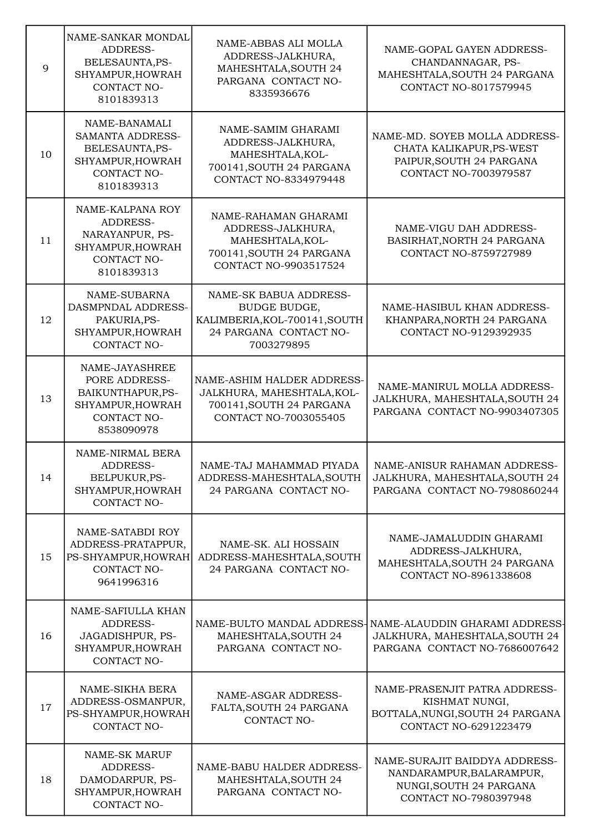| 9  | NAME-SANKAR MONDAL<br>ADDRESS-<br>BELESAUNTA, PS-<br>SHYAMPUR, HOWRAH<br>CONTACT NO-<br>8101839313           | NAME-ABBAS ALI MOLLA<br>ADDRESS-JALKHURA,<br>MAHESHTALA, SOUTH 24<br>PARGANA CONTACT NO-<br>8335936676                  | NAME-GOPAL GAYEN ADDRESS-<br>CHANDANNAGAR, PS-<br>MAHESHTALA, SOUTH 24 PARGANA<br><b>CONTACT NO-8017579945</b>        |
|----|--------------------------------------------------------------------------------------------------------------|-------------------------------------------------------------------------------------------------------------------------|-----------------------------------------------------------------------------------------------------------------------|
| 10 | NAME-BANAMALI<br><b>SAMANTA ADDRESS-</b><br>BELESAUNTA, PS-<br>SHYAMPUR, HOWRAH<br>CONTACT NO-<br>8101839313 | NAME-SAMIM GHARAMI<br>ADDRESS-JALKHURA,<br>MAHESHTALA, KOL-<br>700141, SOUTH 24 PARGANA<br><b>CONTACT NO-8334979448</b> | NAME-MD. SOYEB MOLLA ADDRESS-<br>CHATA KALIKAPUR, PS-WEST<br>PAIPUR, SOUTH 24 PARGANA<br><b>CONTACT NO-7003979587</b> |
| 11 | NAME-KALPANA ROY<br>ADDRESS-<br>NARAYANPUR, PS-<br>SHYAMPUR, HOWRAH<br>CONTACT NO-<br>8101839313             | NAME-RAHAMAN GHARAMI<br>ADDRESS-JALKHURA,<br>MAHESHTALA, KOL-<br>700141, SOUTH 24 PARGANA<br>CONTACT NO-9903517524      | NAME-VIGU DAH ADDRESS-<br>BASIRHAT, NORTH 24 PARGANA<br><b>CONTACT NO-8759727989</b>                                  |
| 12 | NAME-SUBARNA<br>DASMPNDAL ADDRESS-<br>PAKURIA, PS-<br>SHYAMPUR, HOWRAH<br>CONTACT NO-                        | NAME-SK BABUA ADDRESS-<br>BUDGE BUDGE,<br>KALIMBERIA, KOL-700141, SOUTH<br>24 PARGANA CONTACT NO-<br>7003279895         | NAME-HASIBUL KHAN ADDRESS-<br>KHANPARA, NORTH 24 PARGANA<br>CONTACT NO-9129392935                                     |
| 13 | NAME-JAYASHREE<br>PORE ADDRESS-<br>BAIKUNTHAPUR, PS-<br>SHYAMPUR, HOWRAH<br>CONTACT NO-<br>8538090978        | NAME-ASHIM HALDER ADDRESS-<br>JALKHURA, MAHESHTALA, KOL-<br>700141, SOUTH 24 PARGANA<br><b>CONTACT NO-7003055405</b>    | NAME-MANIRUL MOLLA ADDRESS-<br>JALKHURA, MAHESHTALA, SOUTH 24<br>PARGANA CONTACT NO-9903407305                        |
| 14 | NAME-NIRMAL BERA<br>ADDRESS-<br>BELPUKUR, PS-<br>SHYAMPUR, HOWRAH<br>CONTACT NO-                             | NAME-TAJ MAHAMMAD PIYADA<br>ADDRESS-MAHESHTALA, SOUTH<br>24 PARGANA CONTACT NO-                                         | NAME-ANISUR RAHAMAN ADDRESS-<br>JALKHURA, MAHESHTALA, SOUTH 24<br>PARGANA CONTACT NO-7980860244                       |
| 15 | NAME-SATABDI ROY<br>ADDRESS-PRATAPPUR,<br>PS-SHYAMPUR, HOWRAH<br>CONTACT NO-<br>9641996316                   | NAME-SK. ALI HOSSAIN<br>ADDRESS-MAHESHTALA, SOUTH<br>24 PARGANA CONTACT NO-                                             | NAME-JAMALUDDIN GHARAMI<br>ADDRESS-JALKHURA,<br>MAHESHTALA, SOUTH 24 PARGANA<br>CONTACT NO-8961338608                 |
| 16 | NAME-SAFIULLA KHAN<br>ADDRESS-<br>JAGADISHPUR, PS-<br>SHYAMPUR, HOWRAH<br>CONTACT NO-                        | NAME-BULTO MANDAL ADDRESS-<br>MAHESHTALA, SOUTH 24<br>PARGANA CONTACT NO-                                               | NAME-ALAUDDIN GHARAMI ADDRESS-<br>JALKHURA, MAHESHTALA, SOUTH 24<br>PARGANA CONTACT NO-7686007642                     |
| 17 | NAME-SIKHA BERA<br>ADDRESS-OSMANPUR,<br>PS-SHYAMPUR, HOWRAH<br>CONTACT NO-                                   | NAME-ASGAR ADDRESS-<br>FALTA, SOUTH 24 PARGANA<br>CONTACT NO-                                                           | NAME-PRASENJIT PATRA ADDRESS-<br>KISHMAT NUNGI,<br>BOTTALA, NUNGI, SOUTH 24 PARGANA<br>CONTACT NO-6291223479          |
| 18 | NAME-SK MARUF<br>ADDRESS-<br>DAMODARPUR, PS-<br>SHYAMPUR, HOWRAH<br>CONTACT NO-                              | NAME-BABU HALDER ADDRESS-<br>MAHESHTALA, SOUTH 24<br>PARGANA CONTACT NO-                                                | NAME-SURAJIT BAIDDYA ADDRESS-<br>NANDARAMPUR, BALARAMPUR,<br>NUNGI, SOUTH 24 PARGANA<br>CONTACT NO-7980397948         |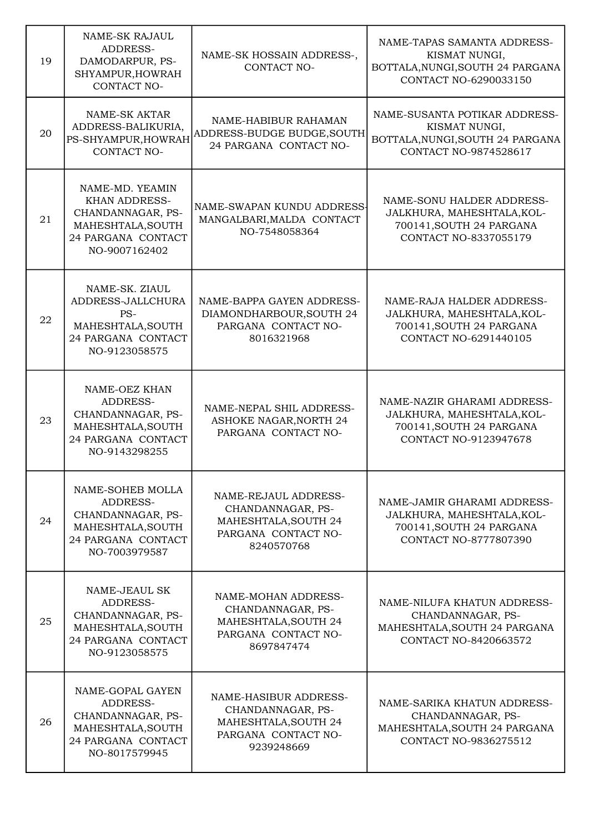| 19 | <b>NAME-SK RAJAUL</b><br>ADDRESS-<br>DAMODARPUR, PS-<br>SHYAMPUR, HOWRAH<br>CONTACT NO-                                  | NAME-SK HOSSAIN ADDRESS-,<br>CONTACT NO-                                                                | NAME-TAPAS SAMANTA ADDRESS-<br>KISMAT NUNGI,<br>BOTTALA, NUNGI, SOUTH 24 PARGANA<br>CONTACT NO-6290033150      |
|----|--------------------------------------------------------------------------------------------------------------------------|---------------------------------------------------------------------------------------------------------|----------------------------------------------------------------------------------------------------------------|
| 20 | NAME-SK AKTAR<br>ADDRESS-BALIKURIA,<br>PS-SHYAMPUR, HOWRAH<br>CONTACT NO-                                                | NAME-HABIBUR RAHAMAN<br>ADDRESS-BUDGE BUDGE, SOUTH<br>24 PARGANA CONTACT NO-                            | NAME-SUSANTA POTIKAR ADDRESS-<br>KISMAT NUNGI,<br>BOTTALA, NUNGI, SOUTH 24 PARGANA<br>CONTACT NO-9874528617    |
| 21 | NAME-MD. YEAMIN<br><b>KHAN ADDRESS-</b><br>CHANDANNAGAR, PS-<br>MAHESHTALA, SOUTH<br>24 PARGANA CONTACT<br>NO-9007162402 | NAME-SWAPAN KUNDU ADDRESS-<br>MANGALBARI, MALDA CONTACT<br>NO-7548058364                                | NAME-SONU HALDER ADDRESS-<br>JALKHURA, MAHESHTALA, KOL-<br>700141, SOUTH 24 PARGANA<br>CONTACT NO-8337055179   |
| 22 | NAME-SK. ZIAUL<br>ADDRESS-JALLCHURA<br>PS-<br>MAHESHTALA, SOUTH<br>24 PARGANA CONTACT<br>NO-9123058575                   | NAME-BAPPA GAYEN ADDRESS-<br>DIAMONDHARBOUR, SOUTH 24<br>PARGANA CONTACT NO-<br>8016321968              | NAME-RAJA HALDER ADDRESS-<br>JALKHURA, MAHESHTALA, KOL-<br>700141, SOUTH 24 PARGANA<br>CONTACT NO-6291440105   |
| 23 | NAME-OEZ KHAN<br>ADDRESS-<br>CHANDANNAGAR, PS-<br>MAHESHTALA, SOUTH<br>24 PARGANA CONTACT<br>NO-9143298255               | NAME-NEPAL SHIL ADDRESS-<br><b>ASHOKE NAGAR, NORTH 24</b><br>PARGANA CONTACT NO-                        | NAME-NAZIR GHARAMI ADDRESS-<br>JALKHURA, MAHESHTALA, KOL-<br>700141, SOUTH 24 PARGANA<br>CONTACT NO-9123947678 |
| 24 | NAME-SOHEB MOLLA<br>ADDRESS-<br>CHANDANNAGAR, PS-<br>MAHESHTALA, SOUTH<br>24 PARGANA CONTACT<br>NO-7003979587            | NAME-REJAUL ADDRESS-<br>CHANDANNAGAR, PS-<br>MAHESHTALA, SOUTH 24<br>PARGANA CONTACT NO-<br>8240570768  | NAME-JAMIR GHARAMI ADDRESS-<br>JALKHURA, MAHESHTALA, KOL-<br>700141, SOUTH 24 PARGANA<br>CONTACT NO-8777807390 |
| 25 | NAME-JEAUL SK<br>ADDRESS-<br>CHANDANNAGAR, PS-<br>MAHESHTALA, SOUTH<br>24 PARGANA CONTACT<br>NO-9123058575               | NAME-MOHAN ADDRESS-<br>CHANDANNAGAR, PS-<br>MAHESHTALA, SOUTH 24<br>PARGANA CONTACT NO-<br>8697847474   | NAME-NILUFA KHATUN ADDRESS-<br>CHANDANNAGAR, PS-<br>MAHESHTALA, SOUTH 24 PARGANA<br>CONTACT NO-8420663572      |
| 26 | NAME-GOPAL GAYEN<br>ADDRESS-<br>CHANDANNAGAR, PS-<br>MAHESHTALA, SOUTH<br>24 PARGANA CONTACT<br>NO-8017579945            | NAME-HASIBUR ADDRESS-<br>CHANDANNAGAR, PS-<br>MAHESHTALA, SOUTH 24<br>PARGANA CONTACT NO-<br>9239248669 | NAME-SARIKA KHATUN ADDRESS-<br>CHANDANNAGAR, PS-<br>MAHESHTALA, SOUTH 24 PARGANA<br>CONTACT NO-9836275512      |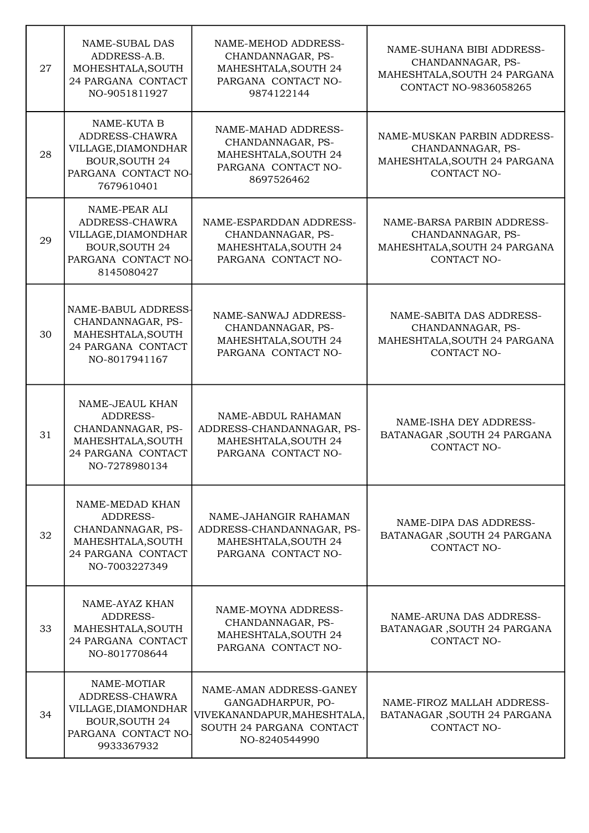| 27 | <b>NAME-SUBAL DAS</b><br>ADDRESS-A.B.<br>MOHESHTALA, SOUTH<br>24 PARGANA CONTACT<br>NO-9051811927                    | NAME-MEHOD ADDRESS-<br>CHANDANNAGAR, PS-<br>MAHESHTALA, SOUTH 24<br>PARGANA CONTACT NO-<br>9874122144                    | NAME-SUHANA BIBI ADDRESS-<br>CHANDANNAGAR, PS-<br>MAHESHTALA, SOUTH 24 PARGANA<br><b>CONTACT NO-9836058265</b> |
|----|----------------------------------------------------------------------------------------------------------------------|--------------------------------------------------------------------------------------------------------------------------|----------------------------------------------------------------------------------------------------------------|
| 28 | NAME-KUTA B<br>ADDRESS-CHAWRA<br>VILLAGE, DIAMONDHAR<br><b>BOUR, SOUTH 24</b><br>PARGANA CONTACT NO-<br>7679610401   | NAME-MAHAD ADDRESS-<br>CHANDANNAGAR, PS-<br>MAHESHTALA, SOUTH 24<br>PARGANA CONTACT NO-<br>8697526462                    | NAME-MUSKAN PARBIN ADDRESS-<br>CHANDANNAGAR, PS-<br>MAHESHTALA, SOUTH 24 PARGANA<br>CONTACT NO-                |
| 29 | NAME-PEAR ALI<br>ADDRESS-CHAWRA<br>VILLAGE, DIAMONDHAR<br><b>BOUR, SOUTH 24</b><br>PARGANA CONTACT NO-<br>8145080427 | NAME-ESPARDDAN ADDRESS-<br>CHANDANNAGAR, PS-<br>MAHESHTALA, SOUTH 24<br>PARGANA CONTACT NO-                              | NAME-BARSA PARBIN ADDRESS-<br>CHANDANNAGAR, PS-<br>MAHESHTALA, SOUTH 24 PARGANA<br><b>CONTACT NO-</b>          |
| 30 | NAME-BABUL ADDRESS-<br>CHANDANNAGAR, PS-<br>MAHESHTALA, SOUTH<br>24 PARGANA CONTACT<br>NO-8017941167                 | NAME-SANWAJ ADDRESS-<br>CHANDANNAGAR, PS-<br>MAHESHTALA, SOUTH 24<br>PARGANA CONTACT NO-                                 | NAME-SABITA DAS ADDRESS-<br>CHANDANNAGAR, PS-<br>MAHESHTALA, SOUTH 24 PARGANA<br>CONTACT NO-                   |
| 31 | NAME-JEAUL KHAN<br>ADDRESS-<br>CHANDANNAGAR, PS-<br>MAHESHTALA, SOUTH<br>24 PARGANA CONTACT<br>NO-7278980134         | NAME-ABDUL RAHAMAN<br>ADDRESS-CHANDANNAGAR, PS-<br>MAHESHTALA, SOUTH 24<br>PARGANA CONTACT NO-                           | NAME-ISHA DEY ADDRESS-<br>BATANAGAR, SOUTH 24 PARGANA<br>CONTACT NO-                                           |
| 32 | NAME-MEDAD KHAN<br>ADDRESS-<br>CHANDANNAGAR, PS-<br>MAHESHTALA, SOUTH<br>24 PARGANA CONTACT<br>NO-7003227349         | NAME-JAHANGIR RAHAMAN<br>ADDRESS-CHANDANNAGAR, PS-<br>MAHESHTALA, SOUTH 24<br>PARGANA CONTACT NO-                        | NAME-DIPA DAS ADDRESS-<br>BATANAGAR, SOUTH 24 PARGANA<br>CONTACT NO-                                           |
| 33 | NAME-AYAZ KHAN<br>ADDRESS-<br>MAHESHTALA, SOUTH<br>24 PARGANA CONTACT<br>NO-8017708644                               | NAME-MOYNA ADDRESS-<br>CHANDANNAGAR, PS-<br>MAHESHTALA, SOUTH 24<br>PARGANA CONTACT NO-                                  | NAME-ARUNA DAS ADDRESS-<br>BATANAGAR, SOUTH 24 PARGANA<br>CONTACT NO-                                          |
| 34 | NAME-MOTIAR<br>ADDRESS-CHAWRA<br>VILLAGE, DIAMONDHAR<br><b>BOUR, SOUTH 24</b><br>PARGANA CONTACT NO-<br>9933367932   | NAME-AMAN ADDRESS-GANEY<br>GANGADHARPUR, PO-<br>VIVEKANANDAPUR, MAHESHTALA,<br>SOUTH 24 PARGANA CONTACT<br>NO-8240544990 | NAME-FIROZ MALLAH ADDRESS-<br>BATANAGAR, SOUTH 24 PARGANA<br><b>CONTACT NO-</b>                                |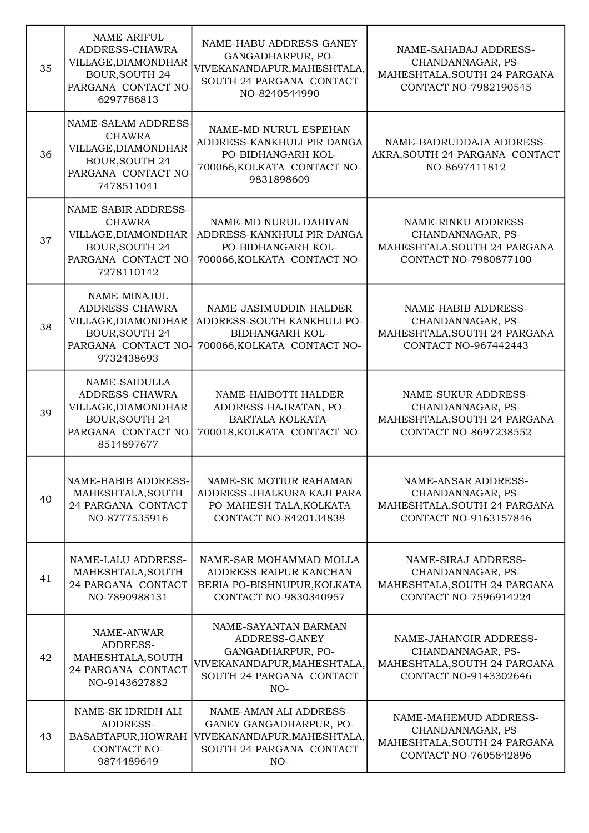| 35 | NAME-ARIFUL<br>ADDRESS-CHAWRA<br>VILLAGE, DIAMONDHAR<br><b>BOUR, SOUTH 24</b><br>PARGANA CONTACT NO-<br>6297786813        | NAME-HABU ADDRESS-GANEY<br>GANGADHARPUR, PO-<br>VIVEKANANDAPUR, MAHESHTALA,<br>SOUTH 24 PARGANA CONTACT<br>NO-8240544990       | NAME-SAHABAJ ADDRESS-<br>CHANDANNAGAR, PS-<br>MAHESHTALA, SOUTH 24 PARGANA<br>CONTACT NO-7982190545      |
|----|---------------------------------------------------------------------------------------------------------------------------|--------------------------------------------------------------------------------------------------------------------------------|----------------------------------------------------------------------------------------------------------|
| 36 | NAME-SALAM ADDRESS-<br><b>CHAWRA</b><br>VILLAGE, DIAMONDHAR<br><b>BOUR, SOUTH 24</b><br>PARGANA CONTACT NO<br>7478511041  | NAME-MD NURUL ESPEHAN<br>ADDRESS-KANKHULI PIR DANGA<br>PO-BIDHANGARH KOL-<br>700066, KOLKATA CONTACT NO-<br>9831898609         | NAME-BADRUDDAJA ADDRESS-<br>AKRA, SOUTH 24 PARGANA CONTACT<br>NO-8697411812                              |
| 37 | NAME-SABIR ADDRESS-<br><b>CHAWRA</b><br>VILLAGE, DIAMONDHAR<br><b>BOUR, SOUTH 24</b><br>PARGANA CONTACT NO-<br>7278110142 | NAME-MD NURUL DAHIYAN<br>ADDRESS-KANKHULI PIR DANGA<br>PO-BIDHANGARH KOL-<br>700066, KOLKATA CONTACT NO-                       | NAME-RINKU ADDRESS-<br>CHANDANNAGAR, PS-<br>MAHESHTALA, SOUTH 24 PARGANA<br>CONTACT NO-7980877100        |
| 38 | NAME-MINAJUL<br>ADDRESS-CHAWRA<br>VILLAGE, DIAMONDHAR<br><b>BOUR, SOUTH 24</b><br>PARGANA CONTACT NO-<br>9732438693       | NAME-JASIMUDDIN HALDER<br>ADDRESS-SOUTH KANKHULI PO-<br><b>BIDHANGARH KOL-</b><br>700066, KOLKATA CONTACT NO-                  | NAME-HABIB ADDRESS-<br>CHANDANNAGAR, PS-<br>MAHESHTALA, SOUTH 24 PARGANA<br><b>CONTACT NO-967442443</b>  |
| 39 | NAME-SAIDULLA<br>ADDRESS-CHAWRA<br>VILLAGE, DIAMONDHAR<br><b>BOUR, SOUTH 24</b><br>PARGANA CONTACT NO-<br>8514897677      | NAME-HAIBOTTI HALDER<br>ADDRESS-HAJRATAN, PO-<br><b>BARTALA KOLKATA-</b><br>700018, KOLKATA CONTACT NO-                        | NAME-SUKUR ADDRESS-<br>CHANDANNAGAR, PS-<br>MAHESHTALA, SOUTH 24 PARGANA<br><b>CONTACT NO-8697238552</b> |
| 40 | NAME-HABIB ADDRESS-<br>MAHESHTALA, SOUTH<br>24 PARGANA CONTACT<br>NO-8777535916                                           | NAME-SK MOTIUR RAHAMAN<br>ADDRESS-JHALKURA KAJI PARA<br>PO-MAHESH TALA, KOLKATA<br>CONTACT NO-8420134838                       | NAME-ANSAR ADDRESS-<br>CHANDANNAGAR, PS-<br>MAHESHTALA, SOUTH 24 PARGANA<br>CONTACT NO-9163157846        |
| 41 | NAME-LALU ADDRESS-<br>MAHESHTALA, SOUTH<br>24 PARGANA CONTACT<br>NO-7890988131                                            | NAME-SAR MOHAMMAD MOLLA<br>ADDRESS-RAIPUR KANCHAN<br>BERIA PO-BISHNUPUR, KOLKATA<br>CONTACT NO-9830340957                      | NAME-SIRAJ ADDRESS-<br>CHANDANNAGAR, PS-<br>MAHESHTALA, SOUTH 24 PARGANA<br>CONTACT NO-7596914224        |
| 42 | NAME-ANWAR<br>ADDRESS-<br>MAHESHTALA, SOUTH<br>24 PARGANA CONTACT<br>NO-9143627882                                        | NAME-SAYANTAN BARMAN<br>ADDRESS-GANEY<br>GANGADHARPUR, PO-<br>VIVEKANANDAPUR, MAHESHTALA,<br>SOUTH 24 PARGANA CONTACT<br>$NO-$ | NAME-JAHANGIR ADDRESS-<br>CHANDANNAGAR, PS-<br>MAHESHTALA, SOUTH 24 PARGANA<br>CONTACT NO-9143302646     |
| 43 | NAME-SK IDRIDH ALI<br>ADDRESS-<br>BASABTAPUR, HOWRAH<br>CONTACT NO-<br>9874489649                                         | NAME-AMAN ALI ADDRESS-<br>GANEY GANGADHARPUR, PO-<br>VIVEKANANDAPUR, MAHESHTALA,<br>SOUTH 24 PARGANA CONTACT<br>$NO-$          | NAME-MAHEMUD ADDRESS-<br>CHANDANNAGAR, PS-<br>MAHESHTALA, SOUTH 24 PARGANA<br>CONTACT NO-7605842896      |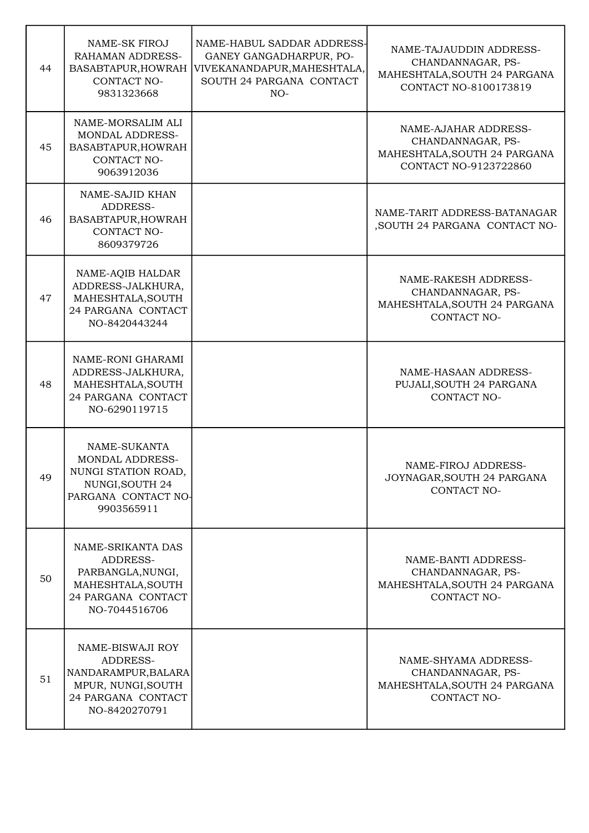| 44 | <b>NAME-SK FIROJ</b><br><b>RAHAMAN ADDRESS-</b><br>BASABTAPUR, HOWRAH<br>CONTACT NO-<br>9831323668                    | NAME-HABUL SADDAR ADDRESS-<br>GANEY GANGADHARPUR, PO-<br>VIVEKANANDAPUR, MAHESHTALA,<br>SOUTH 24 PARGANA CONTACT<br>$NO-$ | NAME-TAJAUDDIN ADDRESS-<br>CHANDANNAGAR, PS-<br>MAHESHTALA, SOUTH 24 PARGANA<br>CONTACT NO-8100173819 |
|----|-----------------------------------------------------------------------------------------------------------------------|---------------------------------------------------------------------------------------------------------------------------|-------------------------------------------------------------------------------------------------------|
| 45 | NAME-MORSALIM ALI<br><b>MONDAL ADDRESS-</b><br>BASABTAPUR, HOWRAH<br>CONTACT NO-<br>9063912036                        |                                                                                                                           | NAME-AJAHAR ADDRESS-<br>CHANDANNAGAR, PS-<br>MAHESHTALA, SOUTH 24 PARGANA<br>CONTACT NO-9123722860    |
| 46 | NAME-SAJID KHAN<br>ADDRESS-<br>BASABTAPUR, HOWRAH<br><b>CONTACT NO-</b><br>8609379726                                 |                                                                                                                           | NAME-TARIT ADDRESS-BATANAGAR<br>, SOUTH 24 PARGANA CONTACT NO-                                        |
| 47 | NAME-AQIB HALDAR<br>ADDRESS-JALKHURA,<br>MAHESHTALA, SOUTH<br>24 PARGANA CONTACT<br>NO-8420443244                     |                                                                                                                           | NAME-RAKESH ADDRESS-<br>CHANDANNAGAR, PS-<br>MAHESHTALA, SOUTH 24 PARGANA<br>CONTACT NO-              |
| 48 | NAME-RONI GHARAMI<br>ADDRESS-JALKHURA,<br>MAHESHTALA, SOUTH<br>24 PARGANA CONTACT<br>NO-6290119715                    |                                                                                                                           | NAME-HASAAN ADDRESS-<br>PUJALI, SOUTH 24 PARGANA<br>CONTACT NO-                                       |
| 49 | NAME-SUKANTA<br><b>MONDAL ADDRESS-</b><br>NUNGI STATION ROAD,<br>NUNGI, SOUTH 24<br>PARGANA CONTACT NO-<br>9903565911 |                                                                                                                           | NAME-FIROJ ADDRESS-<br>JOYNAGAR, SOUTH 24 PARGANA<br>CONTACT NO-                                      |
| 50 | NAME-SRIKANTA DAS<br>ADDRESS-<br>PARBANGLA, NUNGI,<br>MAHESHTALA, SOUTH<br>24 PARGANA CONTACT<br>NO-7044516706        |                                                                                                                           | NAME-BANTI ADDRESS-<br>CHANDANNAGAR, PS-<br>MAHESHTALA, SOUTH 24 PARGANA<br>CONTACT NO-               |
| 51 | NAME-BISWAJI ROY<br>ADDRESS-<br>NANDARAMPUR, BALARA<br>MPUR, NUNGI, SOUTH<br>24 PARGANA CONTACT<br>NO-8420270791      |                                                                                                                           | NAME-SHYAMA ADDRESS-<br>CHANDANNAGAR, PS-<br>MAHESHTALA, SOUTH 24 PARGANA<br>CONTACT NO-              |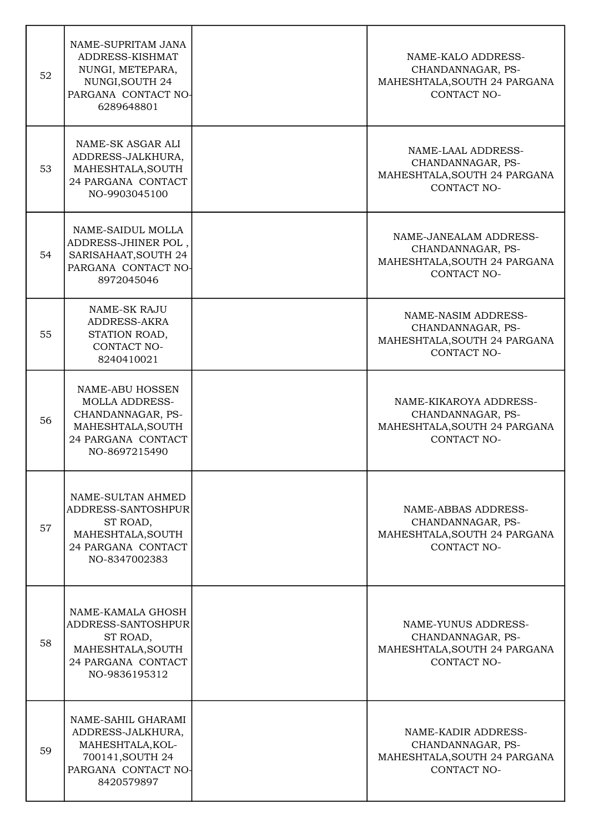| 52 | NAME-SUPRITAM JANA<br>ADDRESS-KISHMAT<br>NUNGI, METEPARA,<br>NUNGI, SOUTH 24<br>PARGANA CONTACT NO-<br>6289648801         | NAME-KALO ADDRESS-<br>CHANDANNAGAR, PS-<br>MAHESHTALA, SOUTH 24 PARGANA<br>CONTACT NO-            |
|----|---------------------------------------------------------------------------------------------------------------------------|---------------------------------------------------------------------------------------------------|
| 53 | NAME-SK ASGAR ALI<br>ADDRESS-JALKHURA,<br>MAHESHTALA, SOUTH<br>24 PARGANA CONTACT<br>NO-9903045100                        | NAME-LAAL ADDRESS-<br>CHANDANNAGAR, PS-<br>MAHESHTALA, SOUTH 24 PARGANA<br>CONTACT NO-            |
| 54 | NAME-SAIDUL MOLLA<br>ADDRESS-JHINER POL,<br>SARISAHAAT, SOUTH 24<br>PARGANA CONTACT NO-<br>8972045046                     | NAME-JANEALAM ADDRESS-<br>CHANDANNAGAR, PS-<br>MAHESHTALA, SOUTH 24 PARGANA<br><b>CONTACT NO-</b> |
| 55 | <b>NAME-SK RAJU</b><br>ADDRESS-AKRA<br>STATION ROAD,<br>CONTACT NO-<br>8240410021                                         | NAME-NASIM ADDRESS-<br>CHANDANNAGAR, PS-<br>MAHESHTALA, SOUTH 24 PARGANA<br><b>CONTACT NO-</b>    |
| 56 | NAME-ABU HOSSEN<br><b>MOLLA ADDRESS-</b><br>CHANDANNAGAR, PS-<br>MAHESHTALA, SOUTH<br>24 PARGANA CONTACT<br>NO-8697215490 | NAME-KIKAROYA ADDRESS-<br>CHANDANNAGAR, PS-<br>MAHESHTALA, SOUTH 24 PARGANA<br><b>CONTACT NO-</b> |
| 57 | NAME-SULTAN AHMED<br>ADDRESS-SANTOSHPUR<br>ST ROAD,<br>MAHESHTALA, SOUTH<br>24 PARGANA CONTACT<br>NO-8347002383           | NAME-ABBAS ADDRESS-<br>CHANDANNAGAR, PS-<br>MAHESHTALA, SOUTH 24 PARGANA<br>CONTACT NO-           |
| 58 | NAME-KAMALA GHOSH<br>ADDRESS-SANTOSHPUR<br>ST ROAD,<br>MAHESHTALA, SOUTH<br>24 PARGANA CONTACT<br>NO-9836195312           | NAME-YUNUS ADDRESS-<br>CHANDANNAGAR, PS-<br>MAHESHTALA, SOUTH 24 PARGANA<br><b>CONTACT NO-</b>    |
| 59 | NAME-SAHIL GHARAMI<br>ADDRESS-JALKHURA,<br>MAHESHTALA, KOL-<br>700141, SOUTH 24<br>PARGANA CONTACT NO-<br>8420579897      | NAME-KADIR ADDRESS-<br>CHANDANNAGAR, PS-<br>MAHESHTALA, SOUTH 24 PARGANA<br><b>CONTACT NO-</b>    |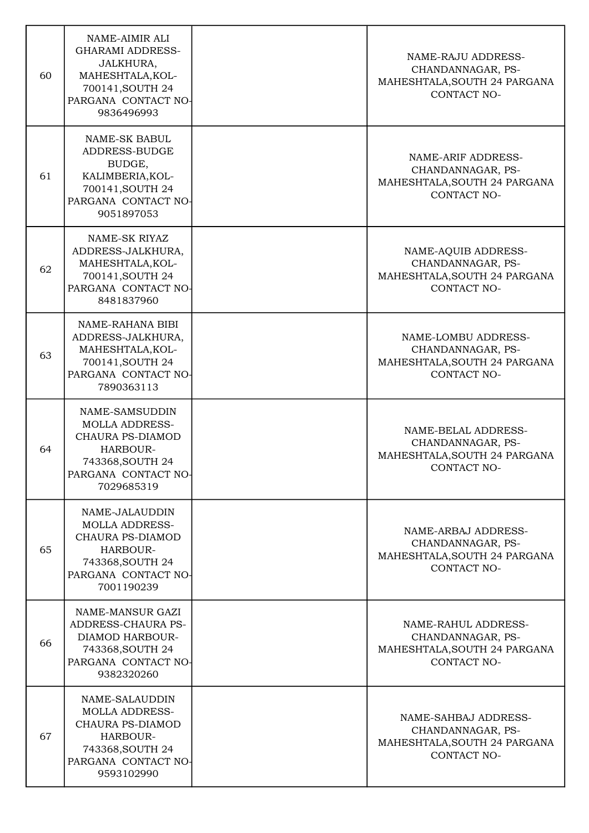| 60 | NAME-AIMIR ALI<br><b>GHARAMI ADDRESS-</b><br>JALKHURA,<br>MAHESHTALA, KOL-<br>700141, SOUTH 24<br>PARGANA CONTACT NO-<br>9836496993     | NAME-RAJU ADDRESS-<br>CHANDANNAGAR, PS-<br>MAHESHTALA, SOUTH 24 PARGANA<br>CONTACT NO-          |
|----|-----------------------------------------------------------------------------------------------------------------------------------------|-------------------------------------------------------------------------------------------------|
| 61 | <b>NAME-SK BABUL</b><br>ADDRESS-BUDGE<br>BUDGE,<br>KALIMBERIA, KOL-<br>700141, SOUTH 24<br>PARGANA CONTACT NO-<br>9051897053            | NAME-ARIF ADDRESS-<br>CHANDANNAGAR, PS-<br>MAHESHTALA, SOUTH 24 PARGANA<br>CONTACT NO-          |
| 62 | NAME-SK RIYAZ<br>ADDRESS-JALKHURA,<br>MAHESHTALA, KOL-<br>700141, SOUTH 24<br>PARGANA CONTACT NO-<br>8481837960                         | NAME-AQUIB ADDRESS-<br>CHANDANNAGAR, PS-<br>MAHESHTALA, SOUTH 24 PARGANA<br>CONTACT NO-         |
| 63 | NAME-RAHANA BIBI<br>ADDRESS-JALKHURA,<br>MAHESHTALA, KOL-<br>700141, SOUTH 24<br>PARGANA CONTACT NO-<br>7890363113                      | NAME-LOMBU ADDRESS-<br>CHANDANNAGAR, PS-<br>MAHESHTALA, SOUTH 24 PARGANA<br>CONTACT NO-         |
| 64 | NAME-SAMSUDDIN<br><b>MOLLA ADDRESS-</b><br>CHAURA PS-DIAMOD<br>HARBOUR-<br>743368, SOUTH 24<br>PARGANA CONTACT NO-<br>7029685319        | NAME-BELAL ADDRESS-<br>CHANDANNAGAR, PS-<br>MAHESHTALA, SOUTH 24 PARGANA<br>CONTACT NO-         |
| 65 | NAME-JALAUDDIN<br><b>MOLLA ADDRESS-</b><br>CHAURA PS-DIAMOD<br>HARBOUR-<br>743368, SOUTH 24<br>PARGANA CONTACT NO-<br>7001190239        | NAME-ARBAJ ADDRESS-<br>CHANDANNAGAR, PS-<br>MAHESHTALA, SOUTH 24 PARGANA<br>CONTACT NO-         |
| 66 | NAME-MANSUR GAZI<br>ADDRESS-CHAURA PS-<br>DIAMOD HARBOUR-<br>743368, SOUTH 24<br>PARGANA CONTACT NO-<br>9382320260                      | NAME-RAHUL ADDRESS-<br>CHANDANNAGAR, PS-<br>MAHESHTALA, SOUTH 24 PARGANA<br>CONTACT NO-         |
| 67 | NAME-SALAUDDIN<br><b>MOLLA ADDRESS-</b><br><b>CHAURA PS-DIAMOD</b><br>HARBOUR-<br>743368, SOUTH 24<br>PARGANA CONTACT NO-<br>9593102990 | NAME-SAHBAJ ADDRESS-<br>CHANDANNAGAR, PS-<br>MAHESHTALA, SOUTH 24 PARGANA<br><b>CONTACT NO-</b> |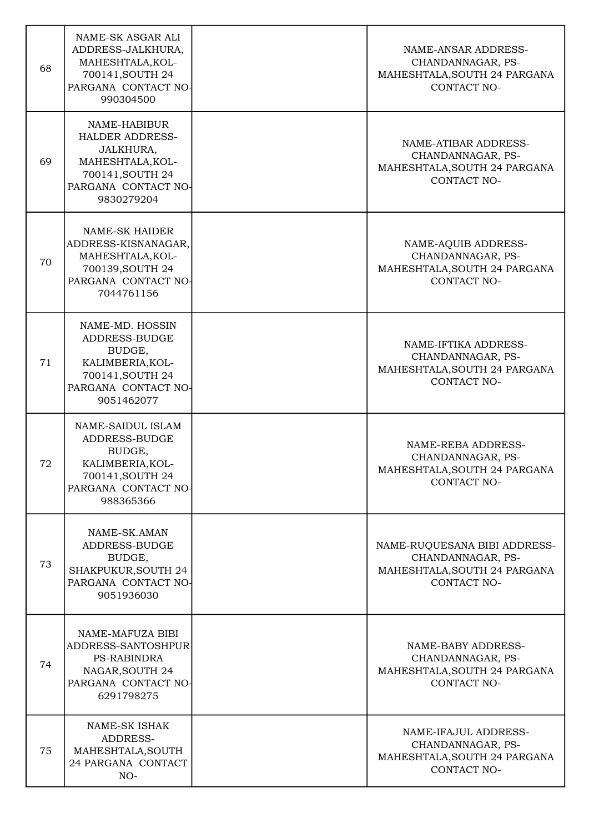| 68 | NAME-SK ASGAR ALI<br>ADDRESS-JALKHURA,<br>MAHESHTALA, KOL-<br>700141, SOUTH 24<br>PARGANA CONTACT NO-<br>990304500               | NAME-ANSAR ADDRESS-<br>CHANDANNAGAR, PS-<br>MAHESHTALA, SOUTH 24 PARGANA<br>CONTACT NO-                 |
|----|----------------------------------------------------------------------------------------------------------------------------------|---------------------------------------------------------------------------------------------------------|
| 69 | NAME-HABIBUR<br><b>HALDER ADDRESS-</b><br>JALKHURA,<br>MAHESHTALA, KOL-<br>700141, SOUTH 24<br>PARGANA CONTACT NO-<br>9830279204 | NAME-ATIBAR ADDRESS-<br>CHANDANNAGAR, PS-<br>MAHESHTALA, SOUTH 24 PARGANA<br>CONTACT NO-                |
| 70 | <b>NAME-SK HAIDER</b><br>ADDRESS-KISNANAGAR,<br>MAHESHTALA, KOL-<br>700139, SOUTH 24<br>PARGANA CONTACT NO-<br>7044761156        | NAME-AQUIB ADDRESS-<br>CHANDANNAGAR, PS-<br>MAHESHTALA, SOUTH 24 PARGANA<br>CONTACT NO-                 |
| 71 | NAME-MD. HOSSIN<br>ADDRESS-BUDGE<br>BUDGE,<br>KALIMBERIA, KOL-<br>700141, SOUTH 24<br>PARGANA CONTACT NO-<br>9051462077          | NAME-IFTIKA ADDRESS-<br>CHANDANNAGAR, PS-<br>MAHESHTALA, SOUTH 24 PARGANA<br><b>CONTACT NO-</b>         |
| 72 | NAME-SAIDUL ISLAM<br>ADDRESS-BUDGE<br>BUDGE,<br>KALIMBERIA, KOL-<br>700141, SOUTH 24<br>PARGANA CONTACT NO-<br>988365366         | NAME-REBA ADDRESS-<br>CHANDANNAGAR, PS-<br>MAHESHTALA, SOUTH 24 PARGANA<br><b>CONTACT NO-</b>           |
| 73 | NAME-SK.AMAN<br>ADDRESS-BUDGE<br>BUDGE,<br>SHAKPUKUR, SOUTH 24<br>PARGANA CONTACT NO-<br>9051936030                              | NAME-RUQUESANA BIBI ADDRESS-<br>CHANDANNAGAR, PS-<br>MAHESHTALA, SOUTH 24 PARGANA<br><b>CONTACT NO-</b> |
| 74 | NAME-MAFUZA BIBI<br>ADDRESS-SANTOSHPUR<br><b>PS-RABINDRA</b><br>NAGAR, SOUTH 24<br>PARGANA CONTACT NO-<br>6291798275             | NAME-BABY ADDRESS-<br>CHANDANNAGAR, PS-<br>MAHESHTALA, SOUTH 24 PARGANA<br><b>CONTACT NO-</b>           |
| 75 | <b>NAME-SK ISHAK</b><br>ADDRESS-<br>MAHESHTALA, SOUTH<br>24 PARGANA CONTACT<br>NO-                                               | NAME-IFAJUL ADDRESS-<br>CHANDANNAGAR, PS-<br>MAHESHTALA, SOUTH 24 PARGANA<br>CONTACT NO-                |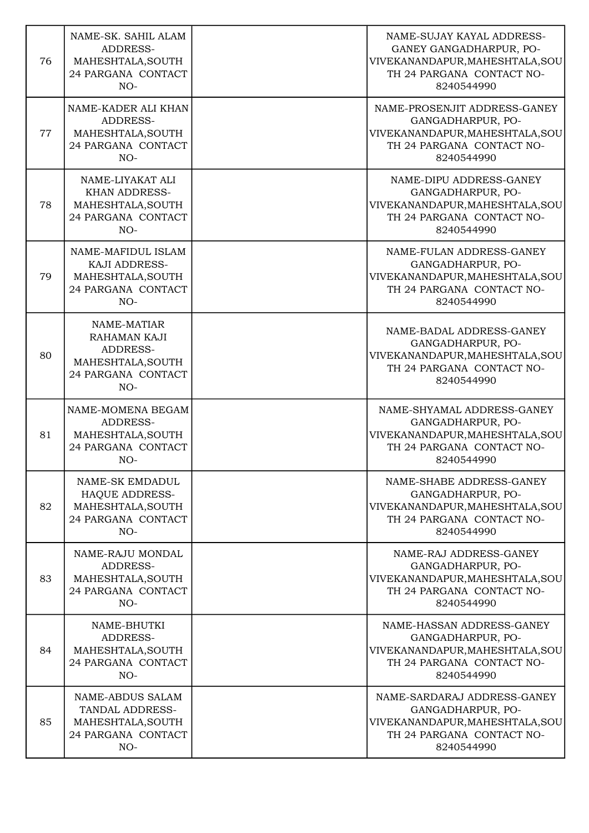| 76 | NAME-SK. SAHIL ALAM<br>ADDRESS-<br>MAHESHTALA, SOUTH<br>24 PARGANA CONTACT<br>$NO-$            | NAME-SUJAY KAYAL ADDRESS-<br>GANEY GANGADHARPUR, PO-<br>VIVEKANANDAPUR, MAHESHTALA, SOU<br>TH 24 PARGANA CONTACT NO-<br>8240544990 |
|----|------------------------------------------------------------------------------------------------|------------------------------------------------------------------------------------------------------------------------------------|
| 77 | NAME-KADER ALI KHAN<br>ADDRESS-<br>MAHESHTALA, SOUTH<br>24 PARGANA CONTACT<br>$NO-$            | NAME-PROSENJIT ADDRESS-GANEY<br>GANGADHARPUR, PO-<br>VIVEKANANDAPUR, MAHESHTALA, SOU<br>TH 24 PARGANA CONTACT NO-<br>8240544990    |
| 78 | NAME-LIYAKAT ALI<br><b>KHAN ADDRESS-</b><br>MAHESHTALA, SOUTH<br>24 PARGANA CONTACT<br>$NO-$   | NAME-DIPU ADDRESS-GANEY<br>GANGADHARPUR, PO-<br>VIVEKANANDAPUR, MAHESHTALA, SOU<br>TH 24 PARGANA CONTACT NO-<br>8240544990         |
| 79 | NAME-MAFIDUL ISLAM<br>KAJI ADDRESS-<br>MAHESHTALA, SOUTH<br>24 PARGANA CONTACT<br>$NO-$        | NAME-FULAN ADDRESS-GANEY<br>GANGADHARPUR, PO-<br>VIVEKANANDAPUR, MAHESHTALA, SOU<br>TH 24 PARGANA CONTACT NO-<br>8240544990        |
| 80 | NAME-MATIAR<br>RAHAMAN KAJI<br>ADDRESS-<br>MAHESHTALA, SOUTH<br>24 PARGANA CONTACT<br>$NO-$    | NAME-BADAL ADDRESS-GANEY<br>GANGADHARPUR, PO-<br>VIVEKANANDAPUR, MAHESHTALA, SOU<br>TH 24 PARGANA CONTACT NO-<br>8240544990        |
| 81 | NAME-MOMENA BEGAM<br>ADDRESS-<br>MAHESHTALA, SOUTH<br>24 PARGANA CONTACT<br>$NO-$              | NAME-SHYAMAL ADDRESS-GANEY<br>GANGADHARPUR, PO-<br>VIVEKANANDAPUR, MAHESHTALA, SOU<br>TH 24 PARGANA CONTACT NO-<br>8240544990      |
| 82 | NAME-SK EMDADUL<br><b>HAQUE ADDRESS-</b><br>MAHESHTALA, SOUTH<br>24 PARGANA CONTACT<br>$NO-$   | NAME-SHABE ADDRESS-GANEY<br>GANGADHARPUR, PO-<br>VIVEKANANDAPUR, MAHESHTALA, SOU<br>TH 24 PARGANA CONTACT NO-<br>8240544990        |
| 83 | NAME-RAJU MONDAL<br>ADDRESS-<br>MAHESHTALA, SOUTH<br>24 PARGANA CONTACT<br>$NO-$               | NAME-RAJ ADDRESS-GANEY<br>GANGADHARPUR, PO-<br>VIVEKANANDAPUR, MAHESHTALA, SOU<br>TH 24 PARGANA CONTACT NO-<br>8240544990          |
| 84 | NAME-BHUTKI<br>ADDRESS-<br>MAHESHTALA, SOUTH<br>24 PARGANA CONTACT<br>$NO-$                    | NAME-HASSAN ADDRESS-GANEY<br>GANGADHARPUR, PO-<br>VIVEKANANDAPUR, MAHESHTALA, SOU<br>TH 24 PARGANA CONTACT NO-<br>8240544990       |
| 85 | <b>NAME-ABDUS SALAM</b><br>TANDAL ADDRESS-<br>MAHESHTALA, SOUTH<br>24 PARGANA CONTACT<br>$NO-$ | NAME-SARDARAJ ADDRESS-GANEY<br>GANGADHARPUR, PO-<br>VIVEKANANDAPUR, MAHESHTALA, SOU<br>TH 24 PARGANA CONTACT NO-<br>8240544990     |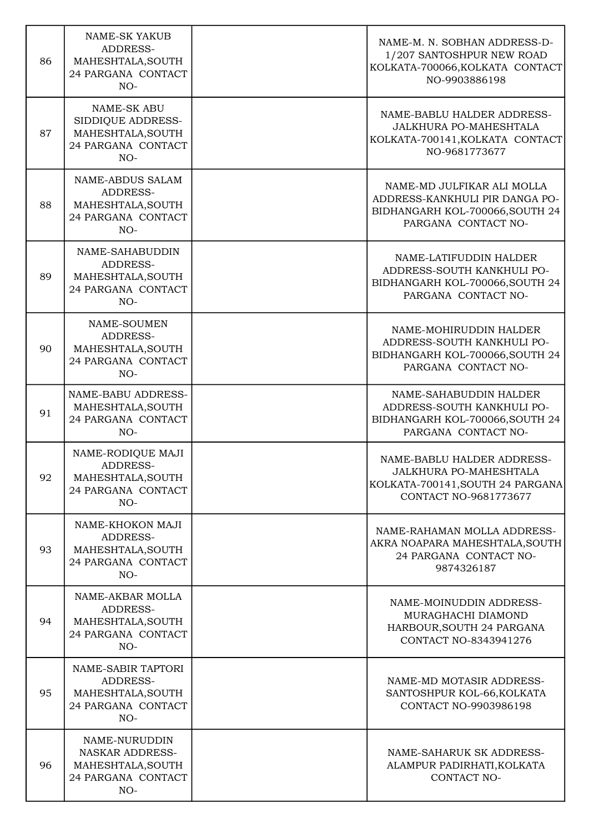| 86 | <b>NAME-SK YAKUB</b><br>ADDRESS-<br>MAHESHTALA, SOUTH<br>24 PARGANA CONTACT<br>$NO-$        | NAME-M. N. SOBHAN ADDRESS-D-<br>1/207 SANTOSHPUR NEW ROAD<br>KOLKATA-700066, KOLKATA CONTACT<br>NO-9903886198          |
|----|---------------------------------------------------------------------------------------------|------------------------------------------------------------------------------------------------------------------------|
| 87 | <b>NAME-SK ABU</b><br>SIDDIQUE ADDRESS-<br>MAHESHTALA, SOUTH<br>24 PARGANA CONTACT<br>$NO-$ | NAME-BABLU HALDER ADDRESS-<br>JALKHURA PO-MAHESHTALA<br>KOLKATA-700141, KOLKATA CONTACT<br>NO-9681773677               |
| 88 | <b>NAME-ABDUS SALAM</b><br>ADDRESS-<br>MAHESHTALA, SOUTH<br>24 PARGANA CONTACT<br>$NO-$     | NAME-MD JULFIKAR ALI MOLLA<br>ADDRESS-KANKHULI PIR DANGA PO-<br>BIDHANGARH KOL-700066, SOUTH 24<br>PARGANA CONTACT NO- |
| 89 | NAME-SAHABUDDIN<br>ADDRESS-<br>MAHESHTALA, SOUTH<br>24 PARGANA CONTACT<br>$NO-$             | NAME-LATIFUDDIN HALDER<br>ADDRESS-SOUTH KANKHULI PO-<br>BIDHANGARH KOL-700066, SOUTH 24<br>PARGANA CONTACT NO-         |
| 90 | NAME-SOUMEN<br>ADDRESS-<br>MAHESHTALA, SOUTH<br>24 PARGANA CONTACT<br>$NO-$                 | NAME-MOHIRUDDIN HALDER<br>ADDRESS-SOUTH KANKHULI PO-<br>BIDHANGARH KOL-700066, SOUTH 24<br>PARGANA CONTACT NO-         |
| 91 | NAME-BABU ADDRESS-<br>MAHESHTALA, SOUTH<br>24 PARGANA CONTACT<br>$NO-$                      | NAME-SAHABUDDIN HALDER<br>ADDRESS-SOUTH KANKHULI PO-<br>BIDHANGARH KOL-700066, SOUTH 24<br>PARGANA CONTACT NO-         |
| 92 | NAME-RODIQUE MAJI<br>ADDRESS-<br>MAHESHTALA, SOUTH<br>24 PARGANA CONTACT<br>$NO-$           | NAME-BABLU HALDER ADDRESS-<br>JALKHURA PO-MAHESHTALA<br>KOLKATA-700141, SOUTH 24 PARGANA<br>CONTACT NO-9681773677      |
| 93 | NAME-KHOKON MAJI<br>ADDRESS-<br>MAHESHTALA, SOUTH<br>24 PARGANA CONTACT<br>$NO-$            | NAME-RAHAMAN MOLLA ADDRESS-<br>AKRA NOAPARA MAHESHTALA, SOUTH<br>24 PARGANA CONTACT NO-<br>9874326187                  |
| 94 | NAME-AKBAR MOLLA<br>ADDRESS-<br>MAHESHTALA, SOUTH<br>24 PARGANA CONTACT<br>$NO-$            | NAME-MOINUDDIN ADDRESS-<br>MURAGHACHI DIAMOND<br>HARBOUR, SOUTH 24 PARGANA<br>CONTACT NO-8343941276                    |
| 95 | NAME-SABIR TAPTORI<br>ADDRESS-<br>MAHESHTALA, SOUTH<br>24 PARGANA CONTACT<br>NO-            | NAME-MD MOTASIR ADDRESS-<br>SANTOSHPUR KOL-66, KOLKATA<br>CONTACT NO-9903986198                                        |
| 96 | NAME-NURUDDIN<br><b>NASKAR ADDRESS-</b><br>MAHESHTALA, SOUTH<br>24 PARGANA CONTACT<br>NO-   | NAME-SAHARUK SK ADDRESS-<br>ALAMPUR PADIRHATI, KOLKATA<br>CONTACT NO-                                                  |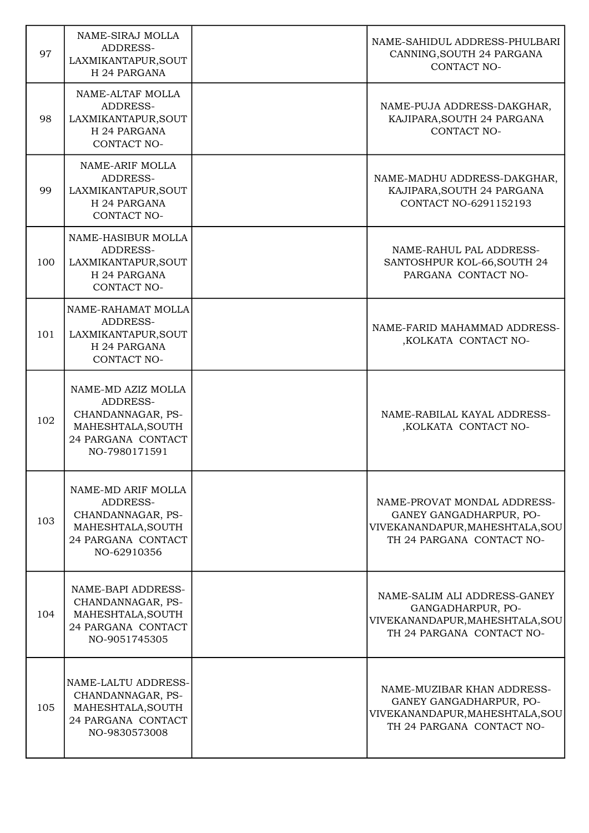| 97  | NAME-SIRAJ MOLLA<br>ADDRESS-<br>LAXMIKANTAPUR, SOUT<br>H 24 PARGANA                                             | NAME-SAHIDUL ADDRESS-PHULBARI<br>CANNING, SOUTH 24 PARGANA<br><b>CONTACT NO-</b>                                              |
|-----|-----------------------------------------------------------------------------------------------------------------|-------------------------------------------------------------------------------------------------------------------------------|
| 98  | NAME-ALTAF MOLLA<br>ADDRESS-<br>LAXMIKANTAPUR, SOUT<br>H 24 PARGANA<br>CONTACT NO-                              | NAME-PUJA ADDRESS-DAKGHAR,<br>KAJIPARA, SOUTH 24 PARGANA<br>CONTACT NO-                                                       |
| 99  | NAME-ARIF MOLLA<br>ADDRESS-<br>LAXMIKANTAPUR, SOUT<br>H 24 PARGANA<br>CONTACT NO-                               | NAME-MADHU ADDRESS-DAKGHAR,<br>KAJIPARA, SOUTH 24 PARGANA<br>CONTACT NO-6291152193                                            |
| 100 | NAME-HASIBUR MOLLA<br>ADDRESS-<br>LAXMIKANTAPUR, SOUT<br>H 24 PARGANA<br>CONTACT NO-                            | NAME-RAHUL PAL ADDRESS-<br>SANTOSHPUR KOL-66, SOUTH 24<br>PARGANA CONTACT NO-                                                 |
| 101 | NAME-RAHAMAT MOLLA<br>ADDRESS-<br>LAXMIKANTAPUR, SOUT<br>H 24 PARGANA<br>CONTACT NO-                            | NAME-FARID MAHAMMAD ADDRESS-<br>,KOLKATA CONTACT NO-                                                                          |
| 102 | NAME-MD AZIZ MOLLA<br>ADDRESS-<br>CHANDANNAGAR, PS-<br>MAHESHTALA, SOUTH<br>24 PARGANA CONTACT<br>NO-7980171591 | NAME-RABILAL KAYAL ADDRESS-<br>,KOLKATA CONTACT NO-                                                                           |
| 103 | NAME-MD ARIF MOLLA<br>ADDRESS-<br>CHANDANNAGAR, PS-<br>MAHESHTALA, SOUTH<br>24 PARGANA CONTACT<br>NO-62910356   | NAME-PROVAT MONDAL ADDRESS-<br><b>GANEY GANGADHARPUR, PO-</b><br>VIVEKANANDAPUR, MAHESHTALA, SOU<br>TH 24 PARGANA CONTACT NO- |
| 104 | NAME-BAPI ADDRESS-<br>CHANDANNAGAR, PS-<br>MAHESHTALA, SOUTH<br>24 PARGANA CONTACT<br>NO-9051745305             | NAME-SALIM ALI ADDRESS-GANEY<br>GANGADHARPUR, PO-<br>VIVEKANANDAPUR, MAHESHTALA, SOU<br>TH 24 PARGANA CONTACT NO-             |
| 105 | NAME-LALTU ADDRESS-<br>CHANDANNAGAR, PS-<br>MAHESHTALA, SOUTH<br>24 PARGANA CONTACT<br>NO-9830573008            | NAME-MUZIBAR KHAN ADDRESS-<br>GANEY GANGADHARPUR, PO-<br>VIVEKANANDAPUR, MAHESHTALA, SOU<br>TH 24 PARGANA CONTACT NO-         |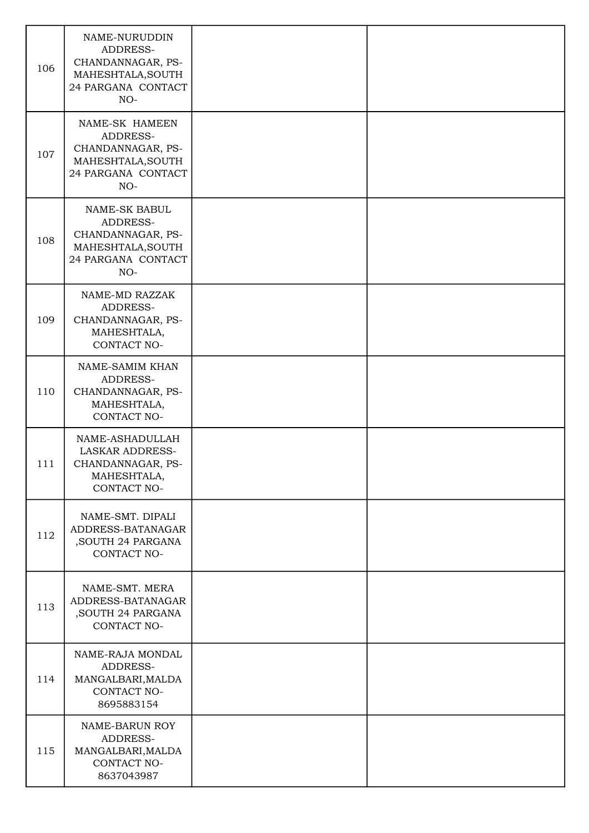| 106 | NAME-NURUDDIN<br>ADDRESS-<br>CHANDANNAGAR, PS-<br>MAHESHTALA, SOUTH<br>24 PARGANA CONTACT<br>$NO-$  |  |
|-----|-----------------------------------------------------------------------------------------------------|--|
| 107 | NAME-SK HAMEEN<br>ADDRESS-<br>CHANDANNAGAR, PS-<br>MAHESHTALA, SOUTH<br>24 PARGANA CONTACT<br>$NO-$ |  |
| 108 | NAME-SK BABUL<br>ADDRESS-<br>CHANDANNAGAR, PS-<br>MAHESHTALA, SOUTH<br>24 PARGANA CONTACT<br>$NO-$  |  |
| 109 | NAME-MD RAZZAK<br>ADDRESS-<br>CHANDANNAGAR, PS-<br>MAHESHTALA,<br>CONTACT NO-                       |  |
| 110 | NAME-SAMIM KHAN<br>ADDRESS-<br>CHANDANNAGAR, PS-<br>MAHESHTALA,<br>CONTACT NO-                      |  |
| 111 | NAME-ASHADULLAH<br><b>LASKAR ADDRESS-</b><br>CHANDANNAGAR, PS-<br>MAHESHTALA,<br><b>CONTACT NO-</b> |  |
| 112 | NAME-SMT. DIPALI<br>ADDRESS-BATANAGAR<br>, SOUTH 24 PARGANA<br>CONTACT NO-                          |  |
| 113 | NAME-SMT. MERA<br>ADDRESS-BATANAGAR<br>, SOUTH 24 PARGANA<br>CONTACT NO-                            |  |
| 114 | NAME-RAJA MONDAL<br>ADDRESS-<br>MANGALBARI, MALDA<br>CONTACT NO-<br>8695883154                      |  |
| 115 | NAME-BARUN ROY<br>ADDRESS-<br>MANGALBARI, MALDA<br>CONTACT NO-<br>8637043987                        |  |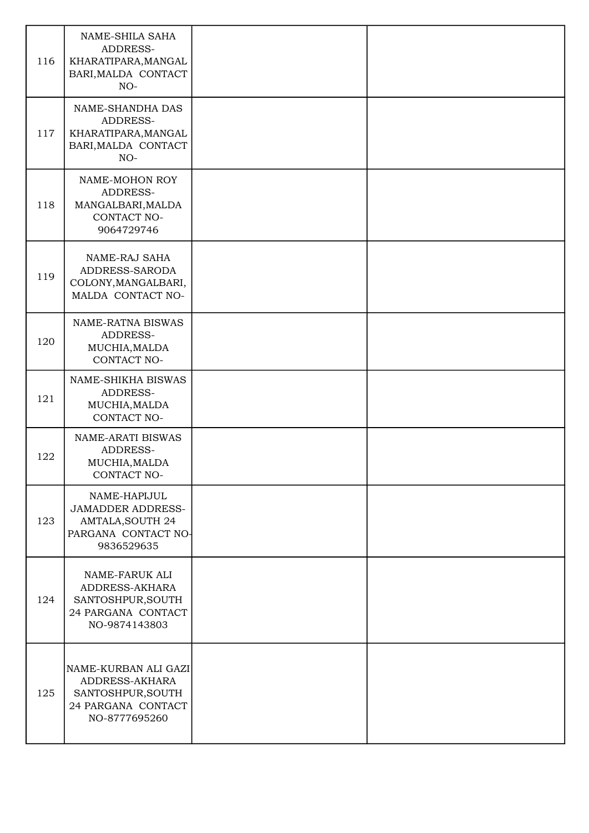| 116 | NAME-SHILA SAHA<br>ADDRESS-<br>KHARATIPARA, MANGAL<br>BARI, MALDA CONTACT<br>$NO-$                       |  |
|-----|----------------------------------------------------------------------------------------------------------|--|
| 117 | NAME-SHANDHA DAS<br>ADDRESS-<br>KHARATIPARA, MANGAL<br>BARI, MALDA CONTACT<br>$NO-$                      |  |
| 118 | NAME-MOHON ROY<br>ADDRESS-<br>MANGALBARI, MALDA<br>CONTACT NO-<br>9064729746                             |  |
| 119 | <b>NAME-RAJ SAHA</b><br>ADDRESS-SARODA<br>COLONY, MANGALBARI,<br>MALDA CONTACT NO-                       |  |
| 120 | NAME-RATNA BISWAS<br>ADDRESS-<br>MUCHIA, MALDA<br>CONTACT NO-                                            |  |
| 121 | NAME-SHIKHA BISWAS<br>ADDRESS-<br>MUCHIA, MALDA<br>CONTACT NO-                                           |  |
| 122 | NAME-ARATI BISWAS<br>ADDRESS-<br>MUCHIA, MALDA<br>CONTACT NO-                                            |  |
| 123 | NAME-HAPIJUL<br><b>JAMADDER ADDRESS-</b><br><b>AMTALA, SOUTH 24</b><br>PARGANA CONTACT NO-<br>9836529635 |  |
| 124 | NAME-FARUK ALI<br>ADDRESS-AKHARA<br>SANTOSHPUR, SOUTH<br>24 PARGANA CONTACT<br>NO-9874143803             |  |
| 125 | NAME-KURBAN ALI GAZI<br>ADDRESS-AKHARA<br>SANTOSHPUR, SOUTH<br>24 PARGANA CONTACT<br>NO-8777695260       |  |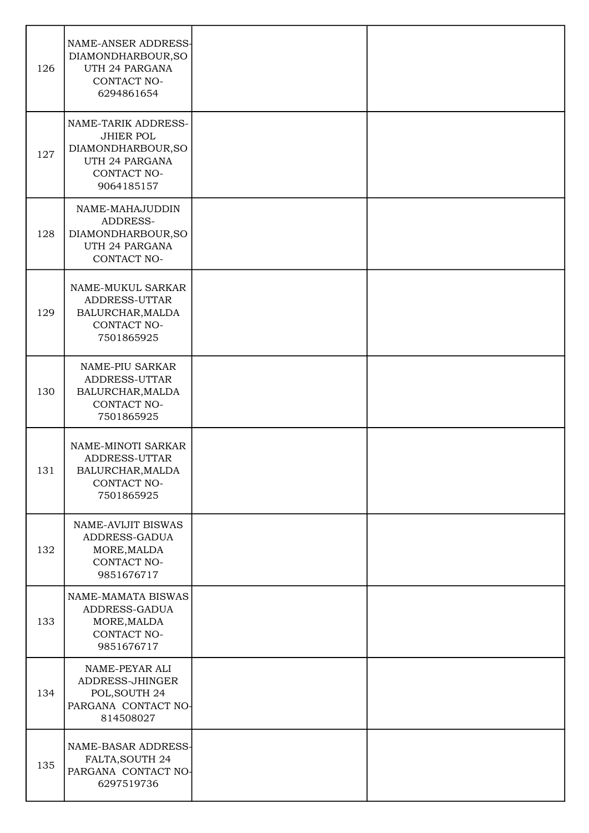| 126 | NAME-ANSER ADDRESS-<br>DIAMONDHARBOUR, SO<br>UTH 24 PARGANA<br>CONTACT NO-<br>6294861654                     |  |
|-----|--------------------------------------------------------------------------------------------------------------|--|
| 127 | NAME-TARIK ADDRESS-<br><b>JHIER POL</b><br>DIAMONDHARBOUR, SO<br>UTH 24 PARGANA<br>CONTACT NO-<br>9064185157 |  |
| 128 | NAME-MAHAJUDDIN<br>ADDRESS-<br>DIAMONDHARBOUR, SO<br>UTH 24 PARGANA<br>CONTACT NO-                           |  |
| 129 | NAME-MUKUL SARKAR<br>ADDRESS-UTTAR<br>BALURCHAR, MALDA<br>CONTACT NO-<br>7501865925                          |  |
| 130 | NAME-PIU SARKAR<br>ADDRESS-UTTAR<br>BALURCHAR, MALDA<br>CONTACT NO-<br>7501865925                            |  |
| 131 | NAME-MINOTI SARKAR<br>ADDRESS-UTTAR<br>BALURCHAR, MALDA<br>CONTACT NO-<br>7501865925                         |  |
| 132 | NAME-AVIJIT BISWAS<br>ADDRESS-GADUA<br>MORE, MALDA<br>CONTACT NO-<br>9851676717                              |  |
| 133 | NAME-MAMATA BISWAS<br>ADDRESS-GADUA<br>MORE, MALDA<br>CONTACT NO-<br>9851676717                              |  |
| 134 | NAME-PEYAR ALI<br>ADDRESS-JHINGER<br>POL, SOUTH 24<br>PARGANA CONTACT NO-<br>814508027                       |  |
| 135 | NAME-BASAR ADDRESS-<br>FALTA, SOUTH 24<br>PARGANA CONTACT NO-<br>6297519736                                  |  |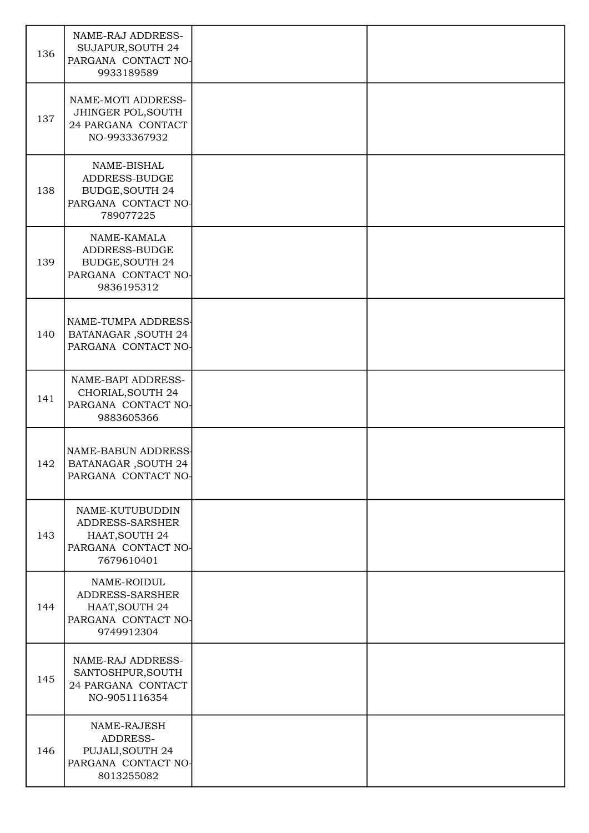| 136 | NAME-RAJ ADDRESS-<br>SUJAPUR, SOUTH 24<br>PARGANA CONTACT NO-<br>9933189589                 |  |
|-----|---------------------------------------------------------------------------------------------|--|
| 137 | NAME-MOTI ADDRESS-<br>JHINGER POL, SOUTH<br>24 PARGANA CONTACT<br>NO-9933367932             |  |
| 138 | NAME-BISHAL<br>ADDRESS-BUDGE<br><b>BUDGE, SOUTH 24</b><br>PARGANA CONTACT NO-<br>789077225  |  |
| 139 | NAME-KAMALA<br>ADDRESS-BUDGE<br><b>BUDGE, SOUTH 24</b><br>PARGANA CONTACT NO-<br>9836195312 |  |
| 140 | NAME-TUMPA ADDRESS-<br><b>BATANAGAR, SOUTH 24</b><br>PARGANA CONTACT NO-                    |  |
| 141 | NAME-BAPI ADDRESS-<br>CHORIAL, SOUTH 24<br>PARGANA CONTACT NO-<br>9883605366                |  |
| 142 | NAME-BABUN ADDRESS<br><b>BATANAGAR, SOUTH 24</b><br>PARGANA CONTACT NO-                     |  |
| 143 | NAME-KUTUBUDDIN<br>ADDRESS-SARSHER<br>HAAT, SOUTH 24<br>PARGANA CONTACT NO-<br>7679610401   |  |
| 144 | NAME-ROIDUL<br>ADDRESS-SARSHER<br>HAAT, SOUTH 24<br>PARGANA CONTACT NO-<br>9749912304       |  |
| 145 | NAME-RAJ ADDRESS-<br>SANTOSHPUR, SOUTH<br>24 PARGANA CONTACT<br>NO-9051116354               |  |
| 146 | NAME-RAJESH<br>ADDRESS-<br>PUJALI, SOUTH 24<br>PARGANA CONTACT NO-<br>8013255082            |  |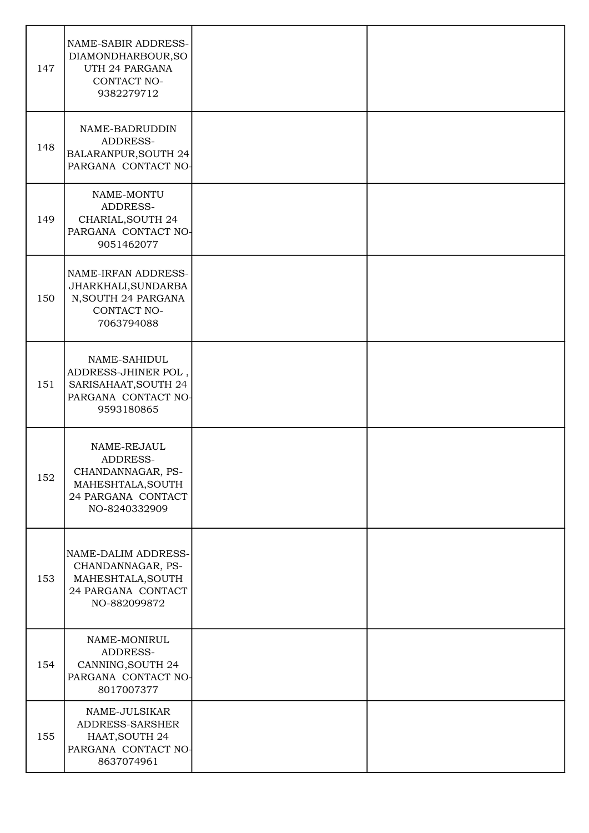| 147 | NAME-SABIR ADDRESS-<br>DIAMONDHARBOUR, SO<br>UTH 24 PARGANA<br>CONTACT NO-<br>9382279712                 |  |
|-----|----------------------------------------------------------------------------------------------------------|--|
| 148 | NAME-BADRUDDIN<br>ADDRESS-<br>BALARANPUR, SOUTH 24<br>PARGANA CONTACT NO-                                |  |
| 149 | NAME-MONTU<br>ADDRESS-<br>CHARIAL, SOUTH 24<br>PARGANA CONTACT NO-<br>9051462077                         |  |
| 150 | NAME-IRFAN ADDRESS-<br>JHARKHALI, SUNDARBA<br>N, SOUTH 24 PARGANA<br>CONTACT NO-<br>7063794088           |  |
| 151 | NAME-SAHIDUL<br>ADDRESS-JHINER POL,<br>SARISAHAAT, SOUTH 24<br>PARGANA CONTACT NO-<br>9593180865         |  |
| 152 | NAME-REJAUL<br>ADDRESS-<br>CHANDANNAGAR, PS-<br>MAHESHTALA, SOUTH<br>24 PARGANA CONTACT<br>NO-8240332909 |  |
| 153 | NAME-DALIM ADDRESS-<br>CHANDANNAGAR, PS-<br>MAHESHTALA, SOUTH<br>24 PARGANA CONTACT<br>NO-882099872      |  |
| 154 | NAME-MONIRUL<br>ADDRESS-<br>CANNING, SOUTH 24<br>PARGANA CONTACT NO-<br>8017007377                       |  |
| 155 | NAME-JULSIKAR<br>ADDRESS-SARSHER<br>HAAT, SOUTH 24<br>PARGANA CONTACT NO-<br>8637074961                  |  |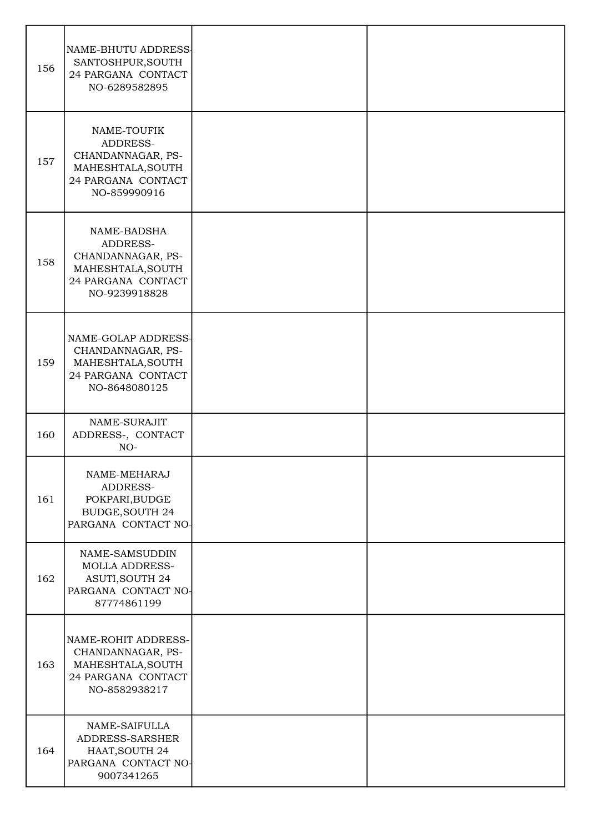| 156 | NAME-BHUTU ADDRESS<br>SANTOSHPUR, SOUTH<br>24 PARGANA CONTACT<br>NO-6289582895                           |  |
|-----|----------------------------------------------------------------------------------------------------------|--|
| 157 | NAME-TOUFIK<br>ADDRESS-<br>CHANDANNAGAR, PS-<br>MAHESHTALA, SOUTH<br>24 PARGANA CONTACT<br>NO-859990916  |  |
| 158 | NAME-BADSHA<br>ADDRESS-<br>CHANDANNAGAR, PS-<br>MAHESHTALA, SOUTH<br>24 PARGANA CONTACT<br>NO-9239918828 |  |
| 159 | NAME-GOLAP ADDRESS-<br>CHANDANNAGAR, PS-<br>MAHESHTALA, SOUTH<br>24 PARGANA CONTACT<br>NO-8648080125     |  |
| 160 | NAME-SURAJIT<br>ADDRESS-, CONTACT<br>$NO-$                                                               |  |
| 161 | NAME-MEHARAJ<br>ADDRESS-<br>POKPARI, BUDGE<br><b>BUDGE, SOUTH 24</b><br>PARGANA CONTACT NO-              |  |
| 162 | NAME-SAMSUDDIN<br><b>MOLLA ADDRESS-</b><br><b>ASUTI, SOUTH 24</b><br>PARGANA CONTACT NO-<br>87774861199  |  |
| 163 | NAME-ROHIT ADDRESS-<br>CHANDANNAGAR, PS-<br>MAHESHTALA, SOUTH<br>24 PARGANA CONTACT<br>NO-8582938217     |  |
| 164 | NAME-SAIFULLA<br>ADDRESS-SARSHER<br>HAAT, SOUTH 24<br>PARGANA CONTACT NO-<br>9007341265                  |  |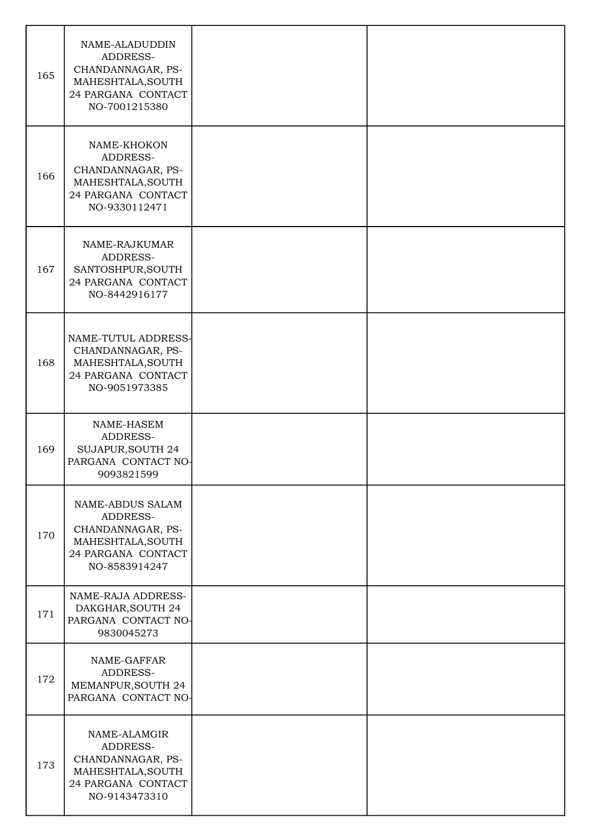| 165 | NAME-ALADUDDIN<br>ADDRESS-<br>CHANDANNAGAR, PS-<br>MAHESHTALA, SOUTH<br>24 PARGANA CONTACT<br>NO-7001215380   |  |
|-----|---------------------------------------------------------------------------------------------------------------|--|
| 166 | NAME-KHOKON<br>ADDRESS-<br>CHANDANNAGAR, PS-<br>MAHESHTALA, SOUTH<br>24 PARGANA CONTACT<br>NO-9330112471      |  |
| 167 | NAME-RAJKUMAR<br>ADDRESS-<br>SANTOSHPUR, SOUTH<br>24 PARGANA CONTACT<br>NO-8442916177                         |  |
| 168 | NAME-TUTUL ADDRESS-<br>CHANDANNAGAR, PS-<br>MAHESHTALA, SOUTH<br>24 PARGANA CONTACT<br>NO-9051973385          |  |
| 169 | NAME-HASEM<br>ADDRESS-<br>SUJAPUR, SOUTH 24<br>PARGANA CONTACT NO-<br>9093821599                              |  |
| 170 | NAME-ABDUS SALAM<br>ADDRESS-<br>CHANDANNAGAR, PS-<br>MAHESHTALA, SOUTH<br>24 PARGANA CONTACT<br>NO-8583914247 |  |
| 171 | NAME-RAJA ADDRESS-<br>DAKGHAR, SOUTH 24<br>PARGANA CONTACT NO-<br>9830045273                                  |  |
| 172 | NAME-GAFFAR<br>ADDRESS-<br>MEMANPUR, SOUTH 24<br>PARGANA CONTACT NO-                                          |  |
| 173 | NAME-ALAMGIR<br>ADDRESS-<br>CHANDANNAGAR, PS-<br>MAHESHTALA, SOUTH<br>24 PARGANA CONTACT<br>NO-9143473310     |  |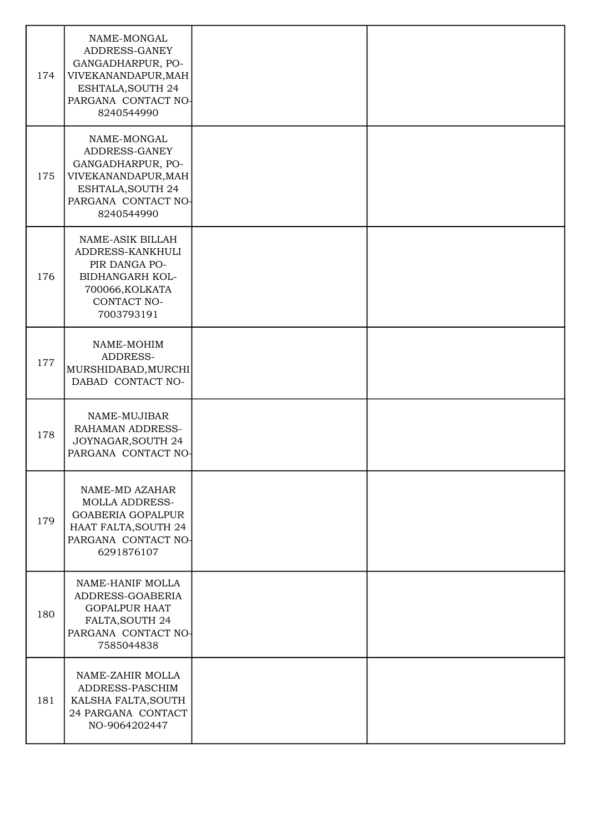| 174 | NAME-MONGAL<br>ADDRESS-GANEY<br>GANGADHARPUR, PO-<br>VIVEKANANDAPUR, MAH<br>ESHTALA, SOUTH 24<br>PARGANA CONTACT NO-<br>8240544990 |  |
|-----|------------------------------------------------------------------------------------------------------------------------------------|--|
| 175 | NAME-MONGAL<br>ADDRESS-GANEY<br>GANGADHARPUR, PO-<br>VIVEKANANDAPUR, MAH<br>ESHTALA, SOUTH 24<br>PARGANA CONTACT NO-<br>8240544990 |  |
| 176 | NAME-ASIK BILLAH<br>ADDRESS-KANKHULI<br>PIR DANGA PO-<br>BIDHANGARH KOL-<br>700066, KOLKATA<br>CONTACT NO-<br>7003793191           |  |
| 177 | NAME-MOHIM<br>ADDRESS-<br>MURSHIDABAD, MURCHI<br>DABAD CONTACT NO-                                                                 |  |
| 178 | NAME-MUJIBAR<br>RAHAMAN ADDRESS-<br>JOYNAGAR, SOUTH 24<br>PARGANA CONTACT NO-                                                      |  |
| 179 | NAME-MD AZAHAR<br><b>MOLLA ADDRESS-</b><br><b>GOABERIA GOPALPUR</b><br>HAAT FALTA, SOUTH 24<br>PARGANA CONTACT NO-<br>6291876107   |  |
| 180 | NAME-HANIF MOLLA<br>ADDRESS-GOABERIA<br><b>GOPALPUR HAAT</b><br>FALTA, SOUTH 24<br>PARGANA CONTACT NO-<br>7585044838               |  |
| 181 | NAME-ZAHIR MOLLA<br>ADDRESS-PASCHIM<br>KALSHA FALTA, SOUTH<br>24 PARGANA CONTACT<br>NO-9064202447                                  |  |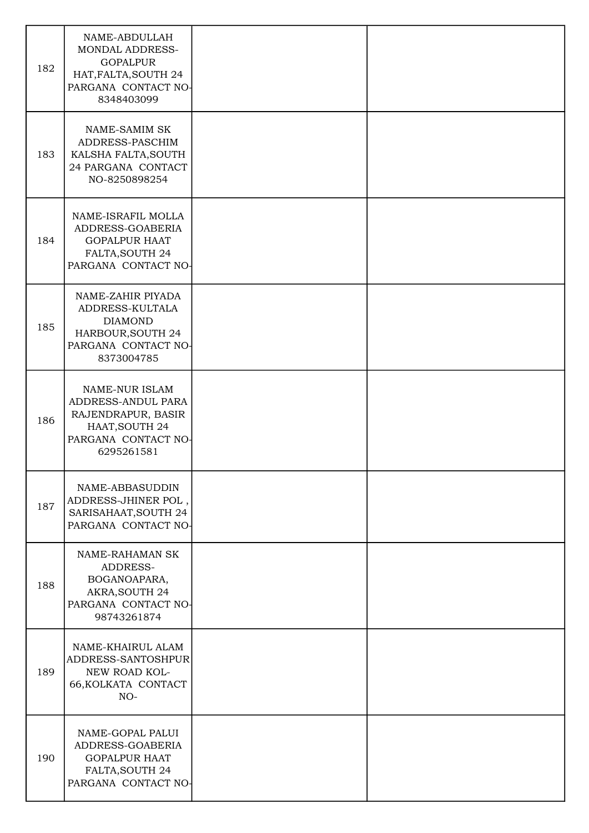| 182 | NAME-ABDULLAH<br>MONDAL ADDRESS-<br><b>GOPALPUR</b><br>HAT, FALTA, SOUTH 24<br>PARGANA CONTACT NO-<br>8348403099         |  |
|-----|--------------------------------------------------------------------------------------------------------------------------|--|
| 183 | NAME-SAMIM SK<br>ADDRESS-PASCHIM<br>KALSHA FALTA, SOUTH<br>24 PARGANA CONTACT<br>NO-8250898254                           |  |
| 184 | NAME-ISRAFIL MOLLA<br>ADDRESS-GOABERIA<br><b>GOPALPUR HAAT</b><br>FALTA, SOUTH 24<br>PARGANA CONTACT NO-                 |  |
| 185 | NAME-ZAHIR PIYADA<br>ADDRESS-KULTALA<br><b>DIAMOND</b><br>HARBOUR, SOUTH 24<br>PARGANA CONTACT NO-<br>8373004785         |  |
| 186 | <b>NAME-NUR ISLAM</b><br>ADDRESS-ANDUL PARA<br>RAJENDRAPUR, BASIR<br>HAAT, SOUTH 24<br>PARGANA CONTACT NO-<br>6295261581 |  |
| 187 | NAME-ABBASUDDIN<br>ADDRESS-JHINER POL,<br>SARISAHAAT, SOUTH 24<br>PARGANA CONTACT NO-                                    |  |
| 188 | NAME-RAHAMAN SK<br>ADDRESS-<br>BOGANOAPARA,<br>AKRA, SOUTH 24<br>PARGANA CONTACT NO-<br>98743261874                      |  |
| 189 | NAME-KHAIRUL ALAM<br>ADDRESS-SANTOSHPUR<br>NEW ROAD KOL-<br>66, KOLKATA CONTACT<br>$NO-$                                 |  |
| 190 | NAME-GOPAL PALUI<br>ADDRESS-GOABERIA<br><b>GOPALPUR HAAT</b><br>FALTA, SOUTH 24<br>PARGANA CONTACT NO-                   |  |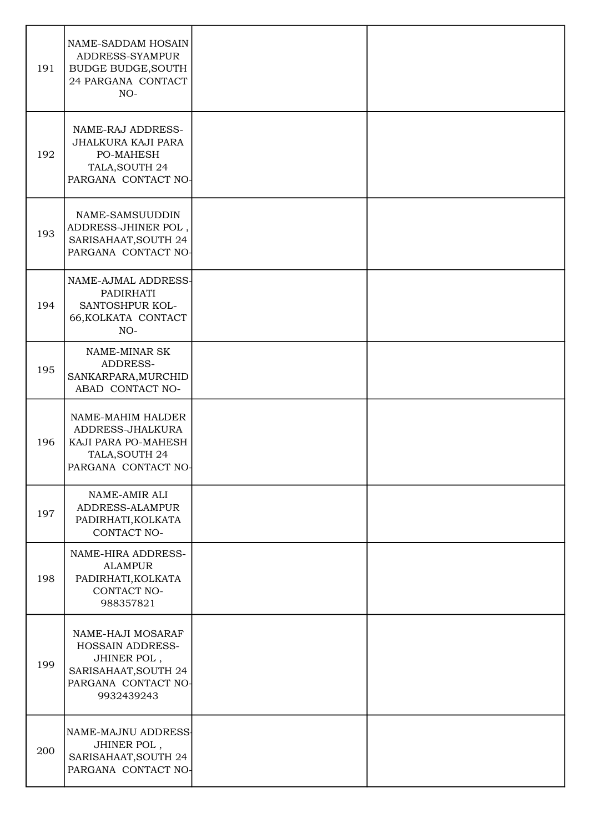| 191 | NAME-SADDAM HOSAIN<br>ADDRESS-SYAMPUR<br><b>BUDGE BUDGE, SOUTH</b><br>24 PARGANA CONTACT<br>$NO-$                 |  |
|-----|-------------------------------------------------------------------------------------------------------------------|--|
| 192 | NAME-RAJ ADDRESS-<br>JHALKURA KAJI PARA<br>PO-MAHESH<br>TALA, SOUTH 24<br>PARGANA CONTACT NO-                     |  |
| 193 | NAME-SAMSUUDDIN<br>ADDRESS-JHINER POL,<br>SARISAHAAT, SOUTH 24<br>PARGANA CONTACT NO-                             |  |
| 194 | NAME-AJMAL ADDRESS-<br>PADIRHATI<br>SANTOSHPUR KOL-<br>66, KOLKATA CONTACT<br>$NO-$                               |  |
| 195 | NAME-MINAR SK<br>ADDRESS-<br>SANKARPARA, MURCHID<br>ABAD CONTACT NO-                                              |  |
| 196 | NAME-MAHIM HALDER<br>ADDRESS-JHALKURA<br>KAJI PARA PO-MAHESH<br>TALA, SOUTH 24<br>PARGANA CONTACT NO              |  |
| 197 | NAME-AMIR ALI<br>ADDRESS-ALAMPUR<br>PADIRHATI, KOLKATA<br>CONTACT NO-                                             |  |
| 198 | NAME-HIRA ADDRESS-<br><b>ALAMPUR</b><br>PADIRHATI, KOLKATA<br>CONTACT NO-<br>988357821                            |  |
| 199 | NAME-HAJI MOSARAF<br>HOSSAIN ADDRESS-<br>JHINER POL,<br>SARISAHAAT, SOUTH 24<br>PARGANA CONTACT NO-<br>9932439243 |  |
| 200 | NAME-MAJNU ADDRESS-<br>JHINER POL,<br>SARISAHAAT, SOUTH 24<br>PARGANA CONTACT NO-                                 |  |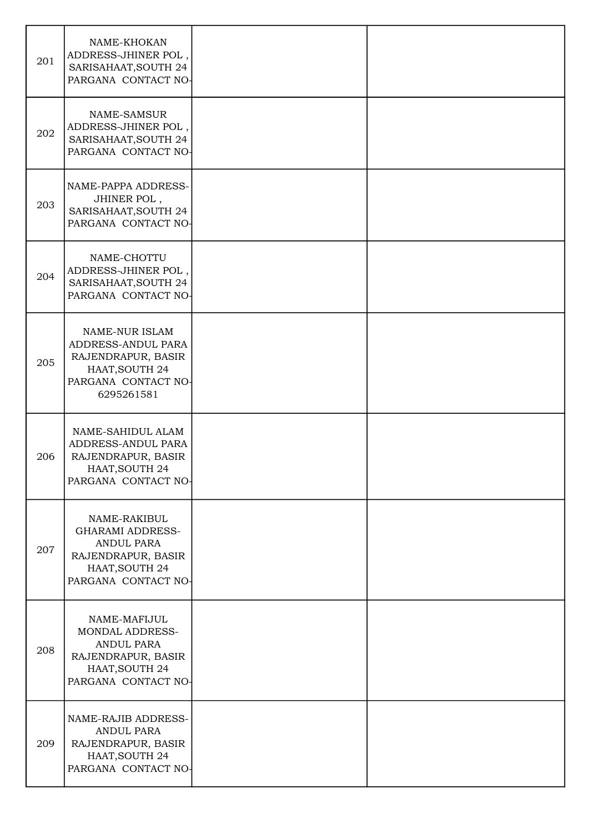| 201 | NAME-KHOKAN<br>ADDRESS-JHINER POL,<br>SARISAHAAT, SOUTH 24<br>PARGANA CONTACT NO-                                           |  |
|-----|-----------------------------------------------------------------------------------------------------------------------------|--|
| 202 | <b>NAME-SAMSUR</b><br>ADDRESS-JHINER POL,<br>SARISAHAAT, SOUTH 24<br>PARGANA CONTACT NO-                                    |  |
| 203 | NAME-PAPPA ADDRESS-<br>JHINER POL,<br>SARISAHAAT, SOUTH 24<br>PARGANA CONTACT NO-                                           |  |
| 204 | NAME-CHOTTU<br>ADDRESS-JHINER POL,<br>SARISAHAAT, SOUTH 24<br>PARGANA CONTACT NO-                                           |  |
| 205 | NAME-NUR ISLAM<br>ADDRESS-ANDUL PARA<br>RAJENDRAPUR, BASIR<br>HAAT, SOUTH 24<br>PARGANA CONTACT NO-<br>6295261581           |  |
| 206 | NAME-SAHIDUL ALAM<br>ADDRESS-ANDUL PARA<br>RAJENDRAPUR, BASIR<br>HAAT, SOUTH 24<br>PARGANA CONTACT NO-                      |  |
| 207 | NAME-RAKIBUL<br><b>GHARAMI ADDRESS-</b><br><b>ANDUL PARA</b><br>RAJENDRAPUR, BASIR<br>HAAT, SOUTH 24<br>PARGANA CONTACT NO- |  |
| 208 | NAME-MAFIJUL<br>MONDAL ADDRESS-<br>ANDUL PARA<br>RAJENDRAPUR, BASIR<br>HAAT, SOUTH 24<br>PARGANA CONTACT NO-                |  |
| 209 | NAME-RAJIB ADDRESS-<br>ANDUL PARA<br>RAJENDRAPUR, BASIR<br>HAAT, SOUTH 24<br>PARGANA CONTACT NO-                            |  |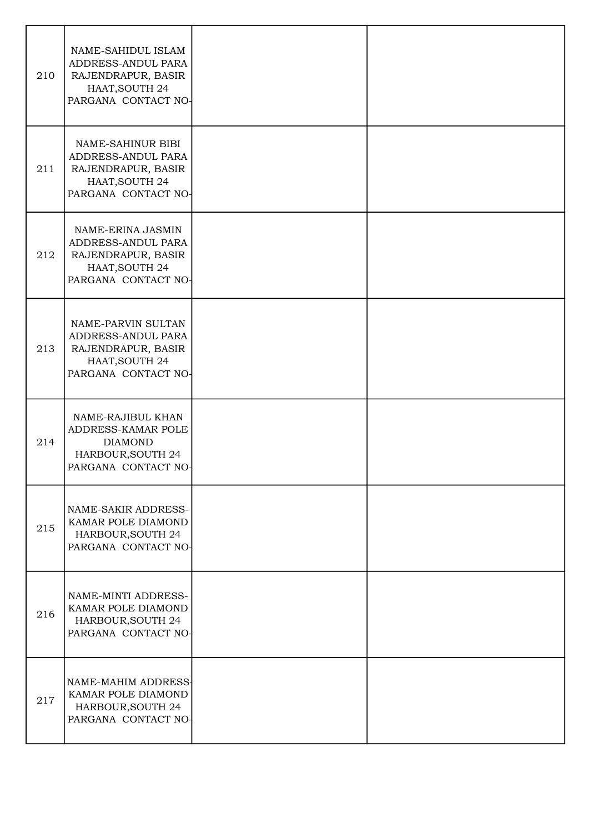| 210 | NAME-SAHIDUL ISLAM<br>ADDRESS-ANDUL PARA<br>RAJENDRAPUR, BASIR<br>HAAT, SOUTH 24<br>PARGANA CONTACT NO- |  |
|-----|---------------------------------------------------------------------------------------------------------|--|
| 211 | NAME-SAHINUR BIBI<br>ADDRESS-ANDUL PARA<br>RAJENDRAPUR, BASIR<br>HAAT, SOUTH 24<br>PARGANA CONTACT NO-  |  |
| 212 | NAME-ERINA JASMIN<br>ADDRESS-ANDUL PARA<br>RAJENDRAPUR, BASIR<br>HAAT, SOUTH 24<br>PARGANA CONTACT NO-  |  |
| 213 | NAME-PARVIN SULTAN<br>ADDRESS-ANDUL PARA<br>RAJENDRAPUR, BASIR<br>HAAT, SOUTH 24<br>PARGANA CONTACT NO- |  |
| 214 | NAME-RAJIBUL KHAN<br>ADDRESS-KAMAR POLE<br><b>DIAMOND</b><br>HARBOUR, SOUTH 24<br>PARGANA CONTACT NO-   |  |
| 215 | NAME-SAKIR ADDRESS-<br>KAMAR POLE DIAMOND<br>HARBOUR, SOUTH 24<br>PARGANA CONTACT NO-                   |  |
| 216 | NAME-MINTI ADDRESS-<br>KAMAR POLE DIAMOND<br>HARBOUR, SOUTH 24<br>PARGANA CONTACT NO-                   |  |
| 217 | NAME-MAHIM ADDRESS-<br>KAMAR POLE DIAMOND<br>HARBOUR, SOUTH 24<br>PARGANA CONTACT NO-                   |  |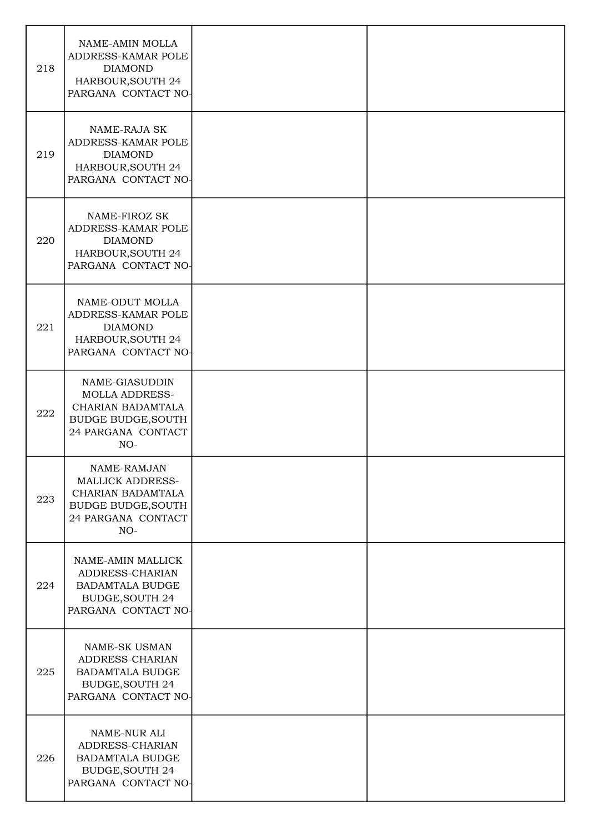| 218 | NAME-AMIN MOLLA<br>ADDRESS-KAMAR POLE<br><b>DIAMOND</b><br>HARBOUR, SOUTH 24<br>PARGANA CONTACT NO-                      |  |
|-----|--------------------------------------------------------------------------------------------------------------------------|--|
| 219 | NAME-RAJA SK<br>ADDRESS-KAMAR POLE<br><b>DIAMOND</b><br>HARBOUR, SOUTH 24<br>PARGANA CONTACT NO-                         |  |
| 220 | NAME-FIROZ SK<br>ADDRESS-KAMAR POLE<br><b>DIAMOND</b><br>HARBOUR, SOUTH 24<br>PARGANA CONTACT NO-                        |  |
| 221 | NAME-ODUT MOLLA<br>ADDRESS-KAMAR POLE<br><b>DIAMOND</b><br>HARBOUR, SOUTH 24<br>PARGANA CONTACT NO-                      |  |
| 222 | NAME-GIASUDDIN<br><b>MOLLA ADDRESS-</b><br>CHARIAN BADAMTALA<br><b>BUDGE BUDGE, SOUTH</b><br>24 PARGANA CONTACT<br>$NO-$ |  |
| 223 | NAME-RAMJAN<br><b>MALLICK ADDRESS-</b><br>CHARIAN BADAMTALA<br><b>BUDGE BUDGE, SOUTH</b><br>24 PARGANA CONTACT<br>$NO-$  |  |
| 224 | NAME-AMIN MALLICK<br>ADDRESS-CHARIAN<br><b>BADAMTALA BUDGE</b><br><b>BUDGE, SOUTH 24</b><br>PARGANA CONTACT NO-          |  |
| 225 | <b>NAME-SK USMAN</b><br>ADDRESS-CHARIAN<br><b>BADAMTALA BUDGE</b><br><b>BUDGE, SOUTH 24</b><br>PARGANA CONTACT NO-       |  |
| 226 | NAME-NUR ALI<br>ADDRESS-CHARIAN<br><b>BADAMTALA BUDGE</b><br><b>BUDGE, SOUTH 24</b><br>PARGANA CONTACT NO-               |  |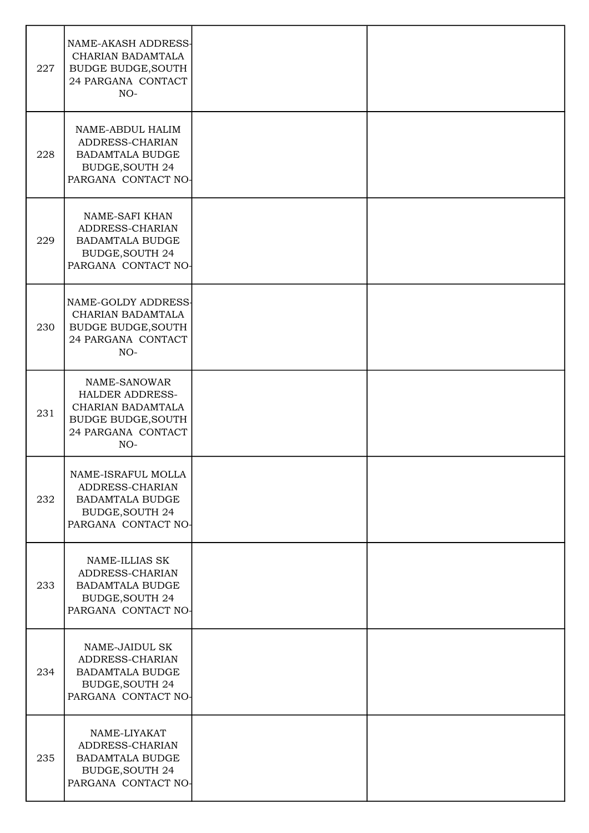| 227 | NAME-AKASH ADDRESS-<br>CHARIAN BADAMTALA<br><b>BUDGE BUDGE, SOUTH</b><br>24 PARGANA CONTACT<br>$NO-$                    |  |
|-----|-------------------------------------------------------------------------------------------------------------------------|--|
| 228 | NAME-ABDUL HALIM<br>ADDRESS-CHARIAN<br><b>BADAMTALA BUDGE</b><br><b>BUDGE, SOUTH 24</b><br>PARGANA CONTACT NO-          |  |
| 229 | NAME-SAFI KHAN<br>ADDRESS-CHARIAN<br><b>BADAMTALA BUDGE</b><br><b>BUDGE, SOUTH 24</b><br>PARGANA CONTACT NO-            |  |
| 230 | NAME-GOLDY ADDRESS-<br>CHARIAN BADAMTALA<br><b>BUDGE BUDGE, SOUTH</b><br>24 PARGANA CONTACT<br>$NO-$                    |  |
| 231 | NAME-SANOWAR<br><b>HALDER ADDRESS-</b><br>CHARIAN BADAMTALA<br><b>BUDGE BUDGE, SOUTH</b><br>24 PARGANA CONTACT<br>$NO-$ |  |
| 232 | NAME-ISRAFUL MOLLA<br>ADDRESS-CHARIAN<br><b>BADAMTALA BUDGE</b><br><b>BUDGE, SOUTH 24</b><br>PARGANA CONTACT NO-        |  |
| 233 | NAME-ILLIAS SK<br>ADDRESS-CHARIAN<br><b>BADAMTALA BUDGE</b><br><b>BUDGE, SOUTH 24</b><br>PARGANA CONTACT NO-            |  |
| 234 | NAME-JAIDUL SK<br>ADDRESS-CHARIAN<br><b>BADAMTALA BUDGE</b><br><b>BUDGE, SOUTH 24</b><br>PARGANA CONTACT NO-            |  |
| 235 | NAME-LIYAKAT<br>ADDRESS-CHARIAN<br><b>BADAMTALA BUDGE</b><br><b>BUDGE, SOUTH 24</b><br>PARGANA CONTACT NO-              |  |